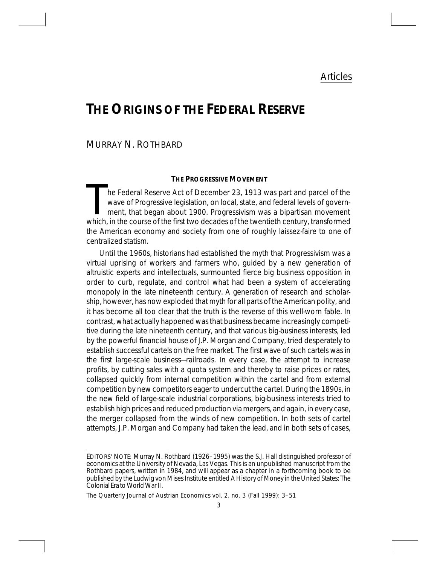## Articles

# **THE ORIGINS OF THE FEDERAL RESERVE**

## MURRAY N. ROTHBARD

#### **THE PROGRESSIVE MOVEMENT**

The Federal Reserve Act of December 23, 1913 was part and parcel of the wave of Progressive legislation, on local, state, and federal levels of government, that began about 1900. Progressivism was a bipartisan movement whi he Federal Reserve Act of December 23, 1913 was part and parcel of the wave of Progressive legislation, on local, state, and federal levels of government, that began about 1900. Progressivism was a bipartisan movement the American economy and society from one of roughly laissez-faire to one of centralized statism.

Until the 1960s, historians had established the myth that Progressivism was a virtual uprising of workers and farmers who, guided by a new generation of altruistic experts and intellectuals, surmounted fierce big business opposition in order to curb, regulate, and control what had been a system of accelerating monopoly in the late nineteenth century. A generation of research and scholarship, however, has now exploded that myth for all parts of the American polity, and it has become all too clear that the truth is the reverse of this well-worn fable. In contrast, what actually happened was that business became increasingly competitive during the late nineteenth century, and that various big-business interests, led by the powerful financial house of J.P. Morgan and Company, tried desperately to establish successful cartels on the free market. The first wave of such cartels was in the first large-scale business—railroads. In every case, the attempt to increase profits, by cutting sales with a quota system and thereby to raise prices or rates, collapsed quickly from internal competition within the cartel and from external competition by new competitors eager to undercut the cartel. During the 1890s, in the new field of large-scale industrial corporations, big-business interests tried to establish high prices and reduced production via mergers, and again, in every case, the merger collapsed from the winds of new competition. In both sets of cartel attempts, J.P. Morgan and Company had taken the lead, and in both sets of cases,

EDITORS' NOTE: Murray N. Rothbard (1926–1995) was the S.J. Hall distinguished professor of economics at the University of Nevada, Las Vegas. This is an unpublished manuscript from the Rothbard papers, written in 1984, and will appear as a chapter in a forthcoming book to be published by the Ludwig von Mises Institute entitled *A History of Money in the United States: The Colonial Era to World War II*.

*The Quarterly Journal of Austrian Economics* vol. 2, no. 3 (Fall 1999): 3–51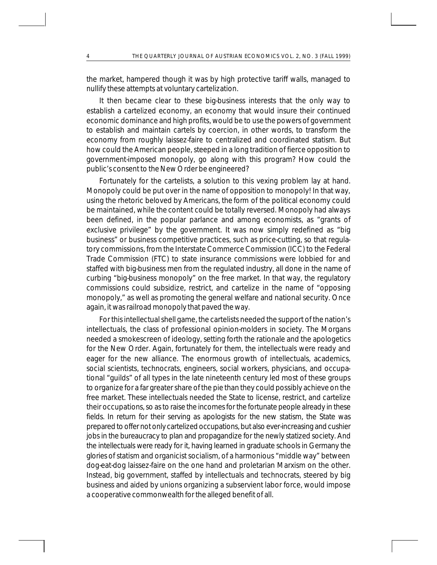the market, hampered though it was by high protective tariff walls, managed to nullify these attempts at voluntary cartelization.

It then became clear to these big-business interests that the only way to establish a cartelized economy, an economy that would insure their continued economic dominance and high profits, would be to use the powers of government to establish and maintain cartels by coercion, in other words, to transform the economy from roughly laissez-faire to centralized and coordinated statism. But how could the American people, steeped in a long tradition of fierce opposition to government-imposed monopoly, go along with this program? How could the public's consent to the New Order be engineered?

Fortunately for the cartelists, a solution to this vexing problem lay at hand. Monopoly could be put over *in the name of* opposition to monopoly! In that way, using the rhetoric beloved by Americans, the *form* of the political economy could be maintained, while the *content* could be totally reversed. Monopoly had always been defined, in the popular parlance and among economists, as "grants of exclusive privilege" by the government. It was now simply redefined as "big business" or business competitive practices, such as price-cutting, so that regulatory commissions, from the Interstate Commerce Commission (ICC) to the Federal Trade Commission (FTC) to state insurance commissions were lobbied for and staffed with big-business men from the regulated industry, all done in the name of curbing "big-business monopoly" on the free market. In that way, the regulatory commissions could subsidize, restrict, and cartelize in the name of "opposing monopoly," as well as promoting the general welfare and national security. Once again, it was railroad monopoly that paved the way.

For this intellectual shell game, the cartelists needed the support of the nation's intellectuals, the class of professional opinion-molders in society. The Morgans needed a smokescreen of ideology, setting forth the rationale and the apologetics for the New Order. Again, fortunately for them, the intellectuals were ready and eager for the new alliance. The enormous growth of intellectuals, academics, social scientists, technocrats, engineers, social workers, physicians, and occupational "guilds" of all types in the late nineteenth century led most of these groups to organize for a far greater share of the pie than they could possibly achieve on the free market. These intellectuals needed the State to license, restrict, and cartelize their occupations, so as to raise the incomes for the fortunate people already in these fields. In return for their serving as apologists for the new statism, the State was prepared to offer not only cartelized occupations, but also ever-increasing and cushier jobs in the bureaucracy to plan and propagandize for the newly statized society. And the intellectuals were ready for it, having learned in graduate schools in Germany the glories of statism and organicist socialism, of a harmonious "middle way" between dog-eat-dog laissez-faire on the one hand and proletarian Marxism on the other. Instead, big government, staffed by intellectuals and technocrats, steered by big business and aided by unions organizing a subservient labor force, would impose a cooperative commonwealth for the alleged benefit of all.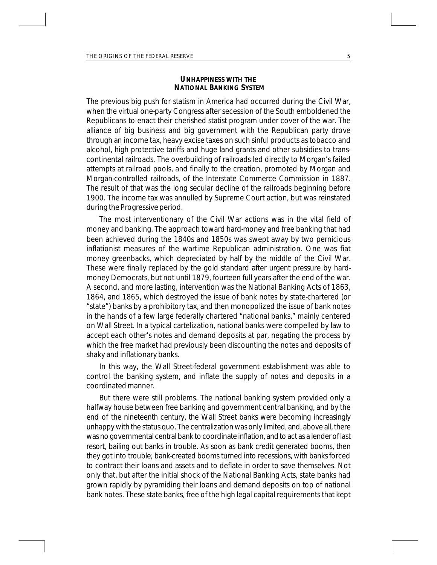## **UNHAPPINESS WITH THE NATIONAL BANKING SYSTEM**

The previous big push for statism in America had occurred during the Civil War, when the virtual one-party Congress after secession of the South emboldened the Republicans to enact their cherished statist program under cover of the war. The alliance of big business and big government with the Republican party drove through an income tax, heavy excise taxes on such sinful products as tobacco and alcohol, high protective tariffs and huge land grants and other subsidies to transcontinental railroads. The overbuilding of railroads led directly to Morgan's failed attempts at railroad pools, and finally to the creation, promoted by Morgan and Morgan-controlled railroads, of the Interstate Commerce Commission in 1887. The result of that was the long secular decline of the railroads beginning before 1900. The income tax was annulled by Supreme Court action, but was reinstated during the Progressive period.

The most interventionary of the Civil War actions was in the vital field of money and banking. The approach toward hard-money and free banking that had been achieved during the 1840s and 1850s was swept away by two pernicious inflationist measures of the wartime Republican administration. One was fiat money greenbacks, which depreciated by half by the middle of the Civil War. These were finally replaced by the gold standard after urgent pressure by hardmoney Democrats, but not until 1879, fourteen full years after the end of the war. A second, and more lasting, intervention was the National Banking Acts of 1863, 1864, and 1865, which destroyed the issue of bank notes by state-chartered (or "state") banks by a prohibitory tax, and then monopolized the issue of bank notes in the hands of a few large federally chartered "national banks," mainly centered on Wall Street. In a typical cartelization, national banks were compelled by law to accept each other's notes and demand deposits at par, negating the process by which the free market had previously been discounting the notes and deposits of shaky and inflationary banks.

In this way, the Wall Street-federal government establishment was able to control the banking system, and inflate the supply of notes and deposits in a coordinated manner.

But there were still problems. The national banking system provided only a halfway house between free banking and government central banking, and by the end of the nineteenth century, the Wall Street banks were becoming increasingly unhappy with the status quo. The centralization was only limited, and, above all, there was no governmental central bank to coordinate inflation, and to act as a lender of last resort, bailing out banks in trouble. As soon as bank credit generated booms, then they got into trouble; bank-created booms turned into recessions, with banks forced to contract their loans and assets and to deflate in order to save themselves. Not only that, but after the initial shock of the National Banking Acts, state banks had grown rapidly by pyramiding their loans and demand deposits on top of national bank notes. These state banks, free of the high legal capital requirements that kept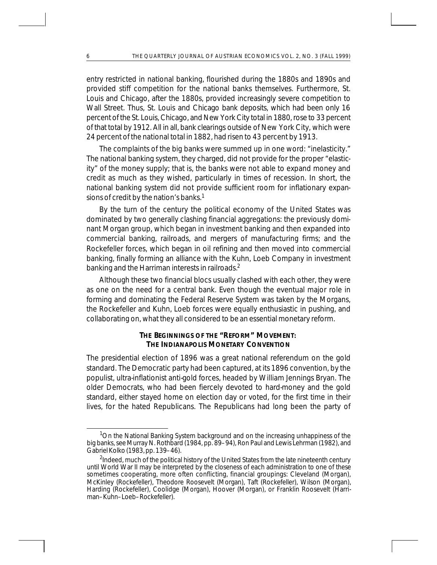entry restricted in national banking, flourished during the 1880s and 1890s and provided stiff competition for the national banks themselves. Furthermore, St. Louis and Chicago, after the 1880s, provided increasingly severe competition to Wall Street. Thus, St. Louis and Chicago bank deposits, which had been only 16 percent of the St. Louis, Chicago, and New York City total in 1880, rose to 33 percent of that total by 1912. All in all, bank clearings outside of New York City, which were 24 percent of the national total in 1882, had risen to 43 percent by 1913.

The complaints of the big banks were summed up in one word: "inelasticity." The national banking system, they charged, did not provide for the proper "elasticity" of the money supply; that is, the banks were not able to expand money and credit as much as they wished, particularly in times of recession. In short, the national banking system did not provide sufficient room for inflationary expansions of credit by the nation's banks.<sup>1</sup>

By the turn of the century the political economy of the United States was dominated by two generally clashing financial aggregations: the previously dominant Morgan group, which began in investment banking and then expanded into commercial banking, railroads, and mergers of manufacturing firms; and the Rockefeller forces, which began in oil refining and then moved into commercial banking, finally forming an alliance with the Kuhn, Loeb Company in investment banking and the Harriman interests in railroads.<sup>2</sup>

Although these two financial blocs usually clashed with each other, they were as one on the need for a central bank. Even though the eventual major role in forming and dominating the Federal Reserve System was taken by the Morgans, the Rockefeller and Kuhn, Loeb forces were equally enthusiastic in pushing, and collaborating on, what they all considered to be an essential monetary reform.

#### **THE BEGINNINGS OF THE "REFORM" MOVEMENT: THE INDIANAPOLIS MONETARY CONVENTION**

The presidential election of 1896 was a great national referendum on the gold standard. The Democratic party had been captured, at its 1896 convention, by the populist, ultra-inflationist anti-gold forces, headed by William Jennings Bryan. The older Democrats, who had been fiercely devoted to hard-money and the gold standard, either stayed home on election day or voted, for the first time in their lives, for the hated Republicans. The Republicans had long been the party of

<sup>&</sup>lt;sup>1</sup>On the National Banking System background and on the increasing unhappiness of the big banks, see Murray N. Rothbard (1984, pp. 89–94), Ron Paul and Lewis Lehrman (1982), and Gabriel Kolko (1983, pp. 139–46).

<sup>&</sup>lt;sup>2</sup>Indeed, much of the political history of the United States from the late nineteenth century until World War II may be interpreted by the closeness of each administration to one of these sometimes cooperating, more often conflicting, financial groupings: Cleveland (Morgan), McKinley (Rockefeller), Theodore Roosevelt (Morgan), Taft (Rockefeller), Wilson (Morgan), Harding (Rockefeller), Coolidge (Morgan), Hoover (Morgan), or Franklin Roosevelt (Harriman–Kuhn–Loeb–Rockefeller).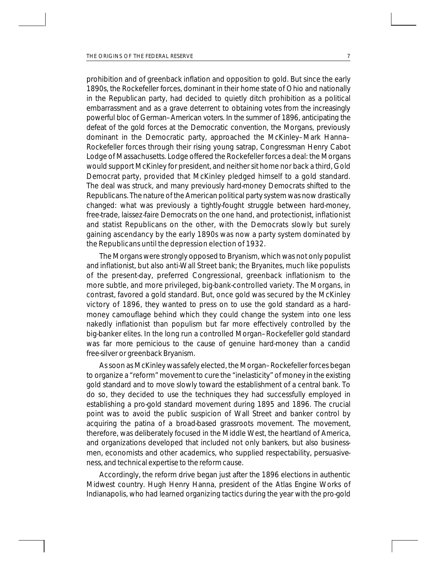prohibition and of greenback inflation and opposition to gold. But since the early 1890s, the Rockefeller forces, dominant in their home state of Ohio and nationally in the Republican party, had decided to quietly ditch prohibition as a political embarrassment and as a grave deterrent to obtaining votes from the increasingly powerful bloc of German–American voters. In the summer of 1896, anticipating the defeat of the gold forces at the Democratic convention, the Morgans, previously dominant in the Democratic party, approached the McKinley–Mark Hanna– Rockefeller forces through their rising young satrap, Congressman Henry Cabot Lodge of Massachusetts. Lodge offered the Rockefeller forces a deal: the Morgans would support McKinley for president, and neither sit home nor back a third, Gold Democrat party, provided that McKinley pledged himself to a gold standard. The deal was struck, and many previously hard-money Democrats shifted to the Republicans. The nature of the American political party system was now drastically changed: what was previously a tightly-fought struggle between hard-money, free-trade, laissez-faire Democrats on the one hand, and protectionist, inflationist and statist Republicans on the other, with the Democrats slowly but surely gaining ascendancy by the early 1890s was now a party system dominated by the Republicans until the depression election of 1932.

The Morgans were strongly opposed to Bryanism, which was not only populist and inflationist, but also anti-Wall Street bank; the Bryanites, much like populists of the present-day, preferred Congressional, greenback inflationism to the more subtle, and more privileged, big-bank-controlled variety. The Morgans, in contrast, favored a gold standard. But, once gold was secured by the McKinley victory of 1896, they wanted to press on to use the gold standard as a hardmoney camouflage behind which they could change the system into one less nakedly inflationist than populism but far more effectively controlled by the big-banker elites. In the long run a controlled Morgan–Rockefeller gold standard was far more pernicious to the cause of genuine hard-money than a candid free-silver or greenback Bryanism.

As soon as McKinley was safely elected, the Morgan–Rockefeller forces began to organize a "reform" movement to cure the "inelasticity" of money in the existing gold standard and to move slowly toward the establishment of a central bank. To do so, they decided to use the techniques they had successfully employed in establishing a pro-gold standard movement during 1895 and 1896. The crucial point was to avoid the public suspicion of Wall Street and banker control by acquiring the patina of a broad-based grassroots movement. The movement, therefore, was deliberately focused in the Middle West, the heartland of America, and organizations developed that included not only bankers, but also businessmen, economists and other academics, who supplied respectability, persuasiveness, and technical expertise to the reform cause.

Accordingly, the reform drive began just after the 1896 elections in authentic Midwest country. Hugh Henry Hanna, president of the Atlas Engine Works of Indianapolis, who had learned organizing tactics during the year with the pro-gold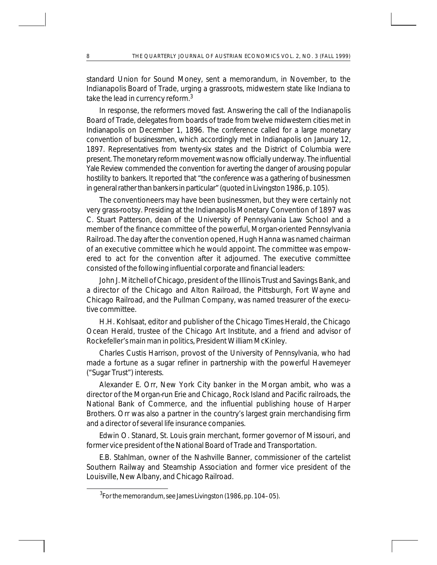standard Union for Sound Money, sent a memorandum, in November, to the Indianapolis Board of Trade, urging a grassroots, midwestern state like Indiana to take the lead in currency reform.<sup>3</sup>

In response, the reformers moved fast. Answering the call of the Indianapolis Board of Trade, delegates from boards of trade from twelve midwestern cities met in Indianapolis on December 1, 1896. The conference called for a large monetary convention of businessmen, which accordingly met in Indianapolis on January 12, 1897. Representatives from twenty-six states and the District of Columbia were present. The monetary reform movement was now officially underway. The influential *Yale Review* commended the convention for averting the danger of arousing popular hostility to bankers. It reported that "the conference was a gathering of businessmen in general rather than bankers in particular" (quoted in Livingston 1986, p. 105).

The conventioneers may have been businessmen, but they were certainly not very grass-rootsy. Presiding at the Indianapolis Monetary Convention of 1897 was C. Stuart Patterson, dean of the University of Pennsylvania Law School and a member of the finance committee of the powerful, Morgan-oriented Pennsylvania Railroad. The day after the convention opened, Hugh Hanna was named chairman of an executive committee which he would appoint. The committee was empowered to act for the convention after it adjourned. The executive committee consisted of the following influential corporate and financial leaders:

John J. Mitchell of Chicago, president of the Illinois Trust and Savings Bank, and a director of the Chicago and Alton Railroad, the Pittsburgh, Fort Wayne and Chicago Railroad, and the Pullman Company, was named treasurer of the executive committee.

H.H. Kohlsaat, editor and publisher of the Chicago *Times Herald*, the Chicago *Ocean Herald*, trustee of the Chicago Art Institute, and a friend and advisor of Rockefeller's main man in politics, President William McKinley.

Charles Custis Harrison, provost of the University of Pennsylvania, who had made a fortune as a sugar refiner in partnership with the powerful Havemeyer ("Sugar Trust") interests.

Alexander E. Orr, New York City banker in the Morgan ambit, who was a director of the Morgan-run Erie and Chicago, Rock Island and Pacific railroads, the National Bank of Commerce, and the influential publishing house of Harper Brothers. Orr was also a partner in the country's largest grain merchandising firm and a director of several life insurance companies.

Edwin O. Stanard, St. Louis grain merchant, former governor of Missouri, and former vice president of the National Board of Trade and Transportation.

E.B. Stahlman, owner of the Nashville Banner, commissioner of the cartelist Southern Railway and Steamship Association and former vice president of the Louisville, New Albany, and Chicago Railroad.

 $3$ For the memorandum, see James Livingston (1986, pp. 104–05).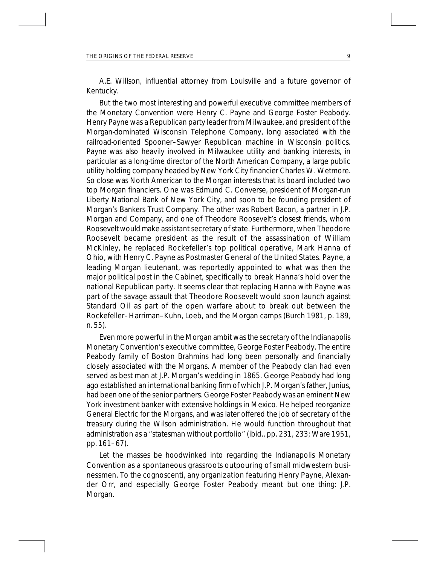A.E. Willson, influential attorney from Louisville and a future governor of Kentucky.

But the two most interesting and powerful executive committee members of the Monetary Convention were Henry C. Payne and George Foster Peabody. Henry Payne was a Republican party leader from Milwaukee, and president of the Morgan-dominated Wisconsin Telephone Company, long associated with the railroad-oriented Spooner–Sawyer Republican machine in Wisconsin politics. Payne was also heavily involved in Milwaukee utility and banking interests, in particular as a long-time director of the North American Company, a large public utility holding company headed by New York City financier Charles W. Wetmore. So close was North American to the Morgan interests that its board included two top Morgan financiers. One was Edmund C. Converse, president of Morgan-run Liberty National Bank of New York City, and soon to be founding president of Morgan's Bankers Trust Company. The other was Robert Bacon, a partner in J.P. Morgan and Company, and one of Theodore Roosevelt's closest friends, whom Roosevelt would make assistant secretary of state. Furthermore, when Theodore Roosevelt became president as the result of the assassination of William McKinley, he replaced Rockefeller's top political operative, Mark Hanna of Ohio, with Henry C. Payne as Postmaster General of the United States. Payne, a leading Morgan lieutenant, was reportedly appointed to what was then the major political post in the Cabinet, specifically to break Hanna's hold over the national Republican party. It seems clear that replacing Hanna with Payne was part of the savage assault that Theodore Roosevelt would soon launch against Standard Oil as part of the open warfare about to break out between the Rockefeller–Harriman–Kuhn, Loeb, and the Morgan camps (Burch 1981, p. 189, n. 55).

Even more powerful in the Morgan ambit was the secretary of the Indianapolis Monetary Convention's executive committee, George Foster Peabody. The entire Peabody family of Boston Brahmins had long been personally and financially closely associated with the Morgans. A member of the Peabody clan had even served as best man at J.P. Morgan's wedding in 1865. George Peabody had long ago established an international banking firm of which J.P. Morgan's father, Junius, had been one of the senior partners. George Foster Peabody was an eminent New York investment banker with extensive holdings in Mexico. He helped reorganize General Electric for the Morgans, and was later offered the job of secretary of the treasury during the Wilson administration. He would function throughout that administration as a "statesman without portfolio" (ibid., pp. 231, 233; Ware 1951, pp. 161–67).

Let the masses be hoodwinked into regarding the Indianapolis Monetary Convention as a spontaneous grassroots outpouring of small midwestern businessmen. To the *cognoscenti*, any organization featuring Henry Payne, Alexander Orr, and especially George Foster Peabody meant but one thing: J.P. Morgan.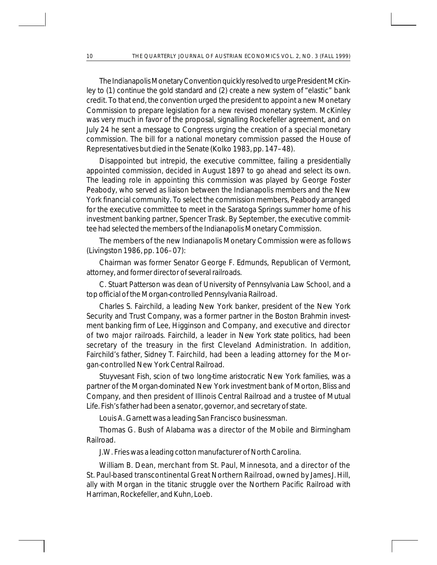The Indianapolis Monetary Convention quickly resolved to urge President McKinley to (1) continue the gold standard and (2) create a new system of "elastic" bank credit. To that end, the convention urged the president to appoint a new Monetary Commission to prepare legislation for a new revised monetary system. McKinley was very much in favor of the proposal, signalling Rockefeller agreement, and on July 24 he sent a message to Congress urging the creation of a special monetary commission. The bill for a national monetary commission passed the House of Representatives but died in the Senate (Kolko 1983, pp. 147–48).

Disappointed but intrepid, the executive committee, failing a presidentially appointed commission, decided in August 1897 to go ahead and select its own. The leading role in appointing this commission was played by George Foster Peabody, who served as liaison between the Indianapolis members and the New York financial community. To select the commission members, Peabody arranged for the executive committee to meet in the Saratoga Springs summer home of his investment banking partner, Spencer Trask. By September, the executive committee had selected the members of the Indianapolis Monetary Commission.

The members of the new Indianapolis Monetary Commission were as follows (Livingston 1986, pp. 106–07):

Chairman was former Senator George F. Edmunds, Republican of Vermont, attorney, and former director of several railroads.

C. Stuart Patterson was dean of University of Pennsylvania Law School, and a top official of the Morgan-controlled Pennsylvania Railroad.

Charles S. Fairchild, a leading New York banker, president of the New York Security and Trust Company, was a former partner in the Boston Brahmin investment banking firm of Lee, Higginson and Company, and executive and director of two major railroads. Fairchild, a leader in New York state politics, had been secretary of the treasury in the first Cleveland Administration. In addition, Fairchild's father, Sidney T. Fairchild, had been a leading attorney for the Morgan-controlled New York Central Railroad.

Stuyvesant Fish, scion of two long-time aristocratic New York families, was a partner of the Morgan-dominated New York investment bank of Morton, Bliss and Company, and then president of Illinois Central Railroad and a trustee of Mutual Life. Fish's father had been a senator, governor, and secretary of state.

Louis A. Garnett was a leading San Francisco businessman.

Thomas G. Bush of Alabama was a director of the Mobile and Birmingham Railroad.

J.W. Fries was a leading cotton manufacturer of North Carolina.

William B. Dean, merchant from St. Paul, Minnesota, and a director of the St. Paul-based transcontinental Great Northern Railroad, owned by James J. Hill, ally with Morgan in the titanic struggle over the Northern Pacific Railroad with Harriman, Rockefeller, and Kuhn, Loeb.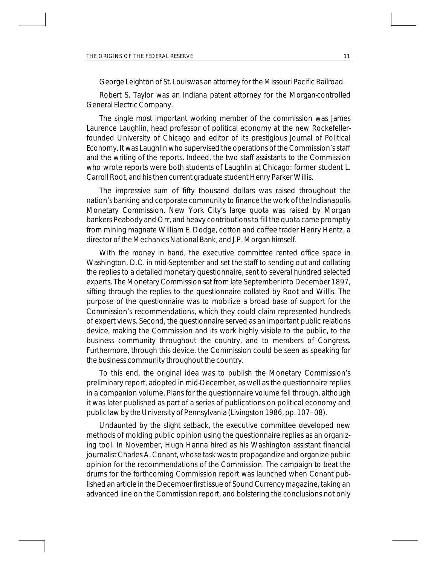George Leighton of St. Louiswas an attorney for the Missouri Pacific Railroad.

Robert S. Taylor was an Indiana patent attorney for the Morgan-controlled General Electric Company.

The single most important working member of the commission was James Laurence Laughlin, head professor of political economy at the new Rockefellerfounded University of Chicago and editor of its prestigious *Journal of Political Economy*. It was Laughlin who supervised the operations of the Commission's staff and the writing of the reports. Indeed, the two staff assistants to the Commission who wrote reports were both students of Laughlin at Chicago: former student L. Carroll Root, and his then current graduate student Henry Parker Willis.

The impressive sum of fifty thousand dollars was raised throughout the nation's banking and corporate community to finance the work of the Indianapolis Monetary Commission. New York City's large quota was raised by Morgan bankers Peabody and Orr, and heavy contributions to fill the quota came promptly from mining magnate William E. Dodge, cotton and coffee trader Henry Hentz, a director of the Mechanics National Bank, and J.P. Morgan himself.

With the money in hand, the executive committee rented office space in Washington, D.C. in mid-September and set the staff to sending out and collating the replies to a detailed monetary questionnaire, sent to several hundred selected experts. The Monetary Commission sat from late September into December 1897, sifting through the replies to the questionnaire collated by Root and Willis. The purpose of the questionnaire was to mobilize a broad base of support for the Commission's recommendations, which they could claim represented hundreds of expert views. Second, the questionnaire served as an important public relations device, making the Commission and its work highly visible to the public, to the business community throughout the country, and to members of Congress. Furthermore, through this device, the Commission could be seen as speaking for the business community throughout the country.

To this end, the original idea was to publish the Monetary Commission's preliminary report, adopted in mid-December, as well as the questionnaire replies in a companion volume. Plans for the questionnaire volume fell through, although it was later published as part of a series of publications on political economy and public law by the University of Pennsylvania (Livingston 1986, pp. 107–08).

Undaunted by the slight setback, the executive committee developed new methods of molding public opinion using the questionnaire replies as an organizing tool. In November, Hugh Hanna hired as his Washington assistant financial journalist Charles A. Conant, whose task was to propagandize and organize public opinion for the recommendations of the Commission. The campaign to beat the drums for the forthcoming Commission report was launched when Conant published an article in the December first issue of *Sound Currency* magazine, taking an advanced line on the Commission report, and bolstering the conclusions not only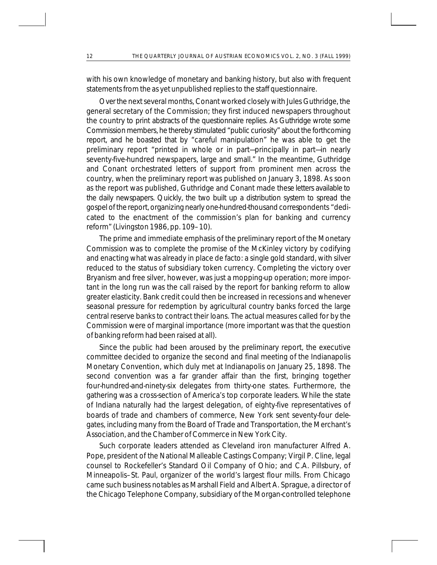with his own knowledge of monetary and banking history, but also with frequent statements from the as yet unpublished replies to the staff questionnaire.

Over the next several months, Conant worked closely with Jules Guthridge, the general secretary of the Commission; they first induced newspapers throughout the country to print abstracts of the questionnaire replies. As Guthridge wrote some Commission members, he thereby stimulated "public curiosity" about the forthcoming report, and he boasted that by "careful manipulation" he was able to get the preliminary report "printed in whole or in part—principally in part—in nearly seventy-five-hundred newspapers, large and small." In the meantime, Guthridge and Conant orchestrated letters of support from prominent men across the country, when the preliminary report was published on January 3, 1898. As soon as the report was published, Guthridge and Conant made these letters available to the daily newspapers. Quickly, the two built up a distribution system to spread the gospel of the report, organizing nearly one-hundred-thousand correspondents "dedicated to the enactment of the commission's plan for banking and currency reform" (Livingston 1986, pp. 109–10).

The prime and immediate emphasis of the preliminary report of the Monetary Commission was to complete the promise of the McKinley victory by codifying and enacting what was already in place *de facto*: a single gold standard, with silver reduced to the status of subsidiary token currency. Completing the victory over Bryanism and free silver, however, was just a mopping-up operation; more important in the long run was the call raised by the report for banking reform to allow greater elasticity. Bank credit could then be increased in recessions and whenever seasonal pressure for redemption by agricultural country banks forced the large central reserve banks to contract their loans. The actual measures called for by the Commission were of marginal importance (more important was that the question of banking reform had been raised at all).

Since the public had been aroused by the preliminary report, the executive committee decided to organize the second and final meeting of the Indianapolis Monetary Convention, which duly met at Indianapolis on January 25, 1898. The second convention was a far grander affair than the first, bringing together four-hundred-and-ninety-six delegates from thirty-one states. Furthermore, the gathering was a cross-section of America's top corporate leaders. While the state of Indiana naturally had the largest delegation, of eighty-five representatives of boards of trade and chambers of commerce, New York sent seventy-four delegates, including many from the Board of Trade and Transportation, the Merchant's Association, and the Chamber of Commerce in New York City.

Such corporate leaders attended as Cleveland iron manufacturer Alfred A. Pope, president of the National Malleable Castings Company; Virgil P. Cline, legal counsel to Rockefeller's Standard Oil Company of Ohio; and C.A. Pillsbury, of Minneapolis–St. Paul, organizer of the world's largest flour mills. From Chicago came such business notables as Marshall Field and Albert A. Sprague, a director of the Chicago Telephone Company, subsidiary of the Morgan-controlled telephone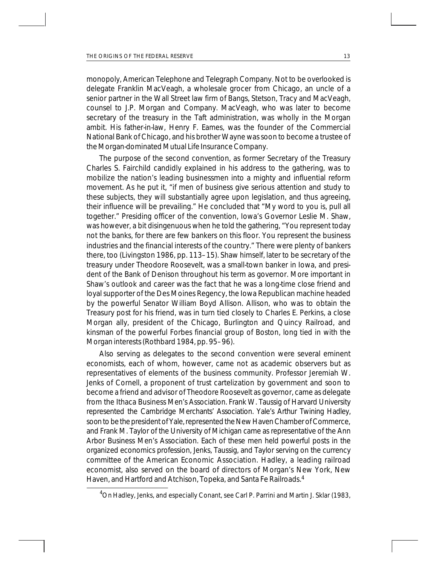monopoly, American Telephone and Telegraph Company. Not to be overlooked is delegate Franklin MacVeagh, a wholesale grocer from Chicago, an uncle of a senior partner in the Wall Street law firm of Bangs, Stetson, Tracy and MacVeagh, counsel to J.P. Morgan and Company. MacVeagh, who was later to become secretary of the treasury in the Taft administration, was wholly in the Morgan ambit. His father-in-law, Henry F. Eames, was the founder of the Commercial National Bank of Chicago, and his brother Wayne was soon to become a trustee of the Morgan-dominated Mutual Life Insurance Company.

The purpose of the second convention, as former Secretary of the Treasury Charles S. Fairchild candidly explained in his address to the gathering, was to mobilize the nation's leading businessmen into a mighty and influential reform movement. As he put it, "if men of business give serious attention and study to these subjects, they will substantially agree upon legislation, and thus agreeing, their influence will be prevailing." He concluded that "My word to you is, pull all together." Presiding officer of the convention, Iowa's Governor Leslie M. Shaw, was however, a bit disingenuous when he told the gathering, "You represent today not the banks, for there are few bankers on this floor. You represent the business industries and the financial interests of the country." There were plenty of bankers there, too (Livingston 1986, pp. 113–15). Shaw himself, later to be secretary of the treasury under Theodore Roosevelt, was a small-town banker in Iowa, and president of the Bank of Denison throughout his term as governor. More important in Shaw's outlook and career was the fact that he was a long-time close friend and loyal supporter of the Des Moines Regency, the Iowa Republican machine headed by the powerful Senator William Boyd Allison. Allison, who was to obtain the Treasury post for his friend, was in turn tied closely to Charles E. Perkins, a close Morgan ally, president of the Chicago, Burlington and Quincy Railroad, and kinsman of the powerful Forbes financial group of Boston, long tied in with the Morgan interests (Rothbard 1984, pp. 95–96).

Also serving as delegates to the second convention were several eminent economists, each of whom, however, came not as academic observers but as representatives of elements of the business community. Professor Jeremiah W. Jenks of Cornell, a proponent of trust cartelization by government and soon to become a friend and advisor of Theodore Roosevelt as governor, came as delegate from the Ithaca Business Men's Association. Frank W. Taussig of Harvard University represented the Cambridge Merchants' Association. Yale's Arthur Twining Hadley, soon to be the president of Yale, represented the New Haven Chamber of Commerce, and Frank M. Taylor of the University of Michigan came as representative of the Ann Arbor Business Men's Association. Each of these men held powerful posts in the organized economics profession, Jenks, Taussig, and Taylor serving on the currency committee of the American Economic Association. Hadley, a leading railroad economist, also served on the board of directors of Morgan's New York, New Haven, and Hartford and Atchison, Topeka, and Santa Fe Railroads.<sup>4</sup>

 $4$ On Hadley, Jenks, and especially Conant, see Carl P. Parrini and Martin J. Sklar (1983,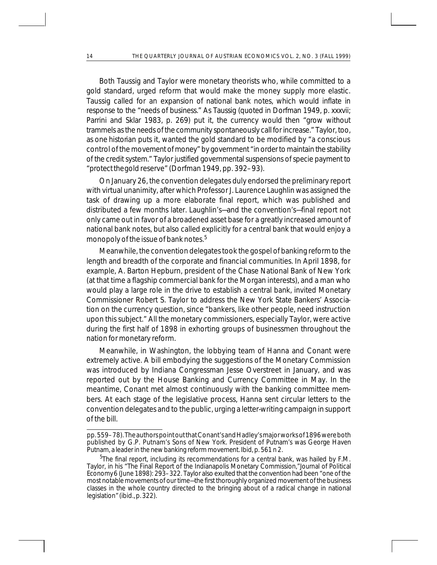Both Taussig and Taylor were monetary theorists who, while committed to a gold standard, urged reform that would make the money supply more elastic. Taussig called for an expansion of national bank notes, which would inflate in response to the "needs of business." As Taussig (quoted in Dorfman 1949, p. xxxvii; Parrini and Sklar 1983, p. 269) put it, the currency would then "grow without trammels as the needs of the community spontaneously call for increase." Taylor, too, as one historian puts it, wanted the gold standard to be modified by "a conscious control of the movement of money" by government "in order to maintain the stability of the credit system." Taylor justified governmental suspensions of specie payment to "protect the gold reserve" (Dorfman 1949, pp. 392–93).

On January 26, the convention delegates duly endorsed the preliminary report with virtual unanimity, after which Professor J. Laurence Laughlin was assigned the task of drawing up a more elaborate final report, which was published and distributed a few months later. Laughlin's—and the convention's—final report not only came out in favor of a broadened asset base for a greatly increased amount of national bank notes, but also called explicitly for a central bank that would enjoy a monopoly of the issue of bank notes.<sup>5</sup>

Meanwhile, the convention delegates took the gospel of banking reform to the length and breadth of the corporate and financial communities. In April 1898, for example, A. Barton Hepburn, president of the Chase National Bank of New York (at that time a flagship commercial bank for the Morgan interests), and a man who would play a large role in the drive to establish a central bank, invited Monetary Commissioner Robert S. Taylor to address the New York State Bankers' Association on the currency question, since "bankers, like other people, need instruction upon this subject." All the monetary commissioners, especially Taylor, were active during the first half of 1898 in exhorting groups of businessmen throughout the nation for monetary reform.

Meanwhile, in Washington, the lobbying team of Hanna and Conant were extremely active. A bill embodying the suggestions of the Monetary Commission was introduced by Indiana Congressman Jesse Overstreet in January, and was reported out by the House Banking and Currency Committee in May. In the meantime, Conant met almost continuously with the banking committee members. At each stage of the legislative process, Hanna sent circular letters to the convention delegates and to the public, urging a letter-writing campaign in support of the bill.

pp. 559–78). The authors point out that Conant's and Hadley's major works of 1896 were both published by G.P. Putnam's Sons of New York. President of Putnam's was George Haven Putnam, a leader in the new banking reform movement. Ibid, p. 561 n 2.

<sup>&</sup>lt;sup>5</sup>The final report, including its recommendations for a central bank, was hailed by F.M. Taylor, in his "The Final Report of the Indianapolis Monetary Commission,"*Journal of Political Economy* 6 (June 1898): 293–322. Taylor also exulted that the convention had been "one of the most notable movements of our time—the first thoroughly organized movement of the business classes in the whole country directed to the bringing about of a radical change in national legislation" (ibid., p. 322).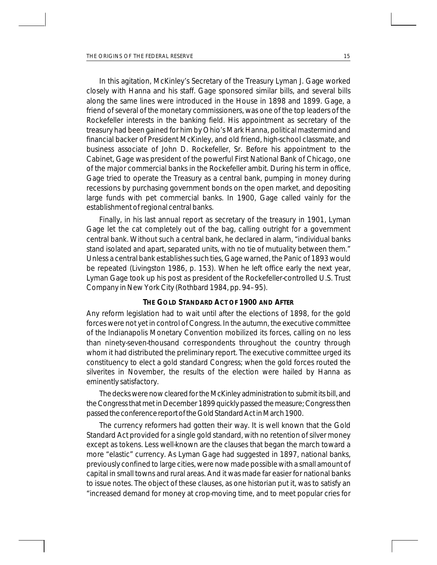In this agitation, McKinley's Secretary of the Treasury Lyman J. Gage worked closely with Hanna and his staff. Gage sponsored similar bills, and several bills along the same lines were introduced in the House in 1898 and 1899. Gage, a friend of several of the monetary commissioners, was one of the top leaders of the Rockefeller interests in the banking field. His appointment as secretary of the treasury had been gained for him by Ohio's Mark Hanna, political mastermind and financial backer of President McKinley, and old friend, high-school classmate, and business associate of John D. Rockefeller, Sr. Before his appointment to the Cabinet, Gage was president of the powerful First National Bank of Chicago, one of the major commercial banks in the Rockefeller ambit. During his term in office, Gage tried to operate the Treasury as a central bank, pumping in money during recessions by purchasing government bonds on the open market, and depositing large funds with pet commercial banks. In 1900, Gage called vainly for the establishment of regional central banks.

Finally, in his last annual report as secretary of the treasury in 1901, Lyman Gage let the cat completely out of the bag, calling outright for a government central bank. Without such a central bank, he declared in alarm, "individual banks stand isolated and apart, separated units, with no tie of mutuality between them." Unless a central bank establishes such ties, Gage warned, the Panic of 1893 would be repeated (Livingston 1986, p. 153). When he left office early the next year, Lyman Gage took up his post as president of the Rockefeller-controlled U.S. Trust Company in New York City (Rothbard 1984, pp. 94–95).

## **THE GOLD STANDARD ACT OF 1900 AND AFTER**

Any reform legislation had to wait until after the elections of 1898, for the gold forces were not yet in control of Congress. In the autumn, the executive committee of the Indianapolis Monetary Convention mobilized its forces, calling on no less than ninety-seven-thousand correspondents throughout the country through whom it had distributed the preliminary report. The executive committee urged its constituency to elect a gold standard Congress; when the gold forces routed the silverites in November, the results of the election were hailed by Hanna as eminently satisfactory.

The decks were now cleared for the McKinley administration to submit its bill, and the Congress that met in December 1899 quickly passed the measure; Congress then passed the conference report of the Gold Standard Act in March 1900.

The currency reformers had gotten their way. It is well known that the Gold Standard Act provided for a single gold standard, with no retention of silver money except as tokens. Less well-known are the clauses that began the march toward a more "elastic" currency. As Lyman Gage had suggested in 1897, national banks, previously confined to large cities, were now made possible with a small amount of capital in small towns and rural areas. And it was made far easier for national banks to issue notes. The object of these clauses, as one historian put it, was to satisfy an "increased demand for money at crop-moving time, and to meet popular cries for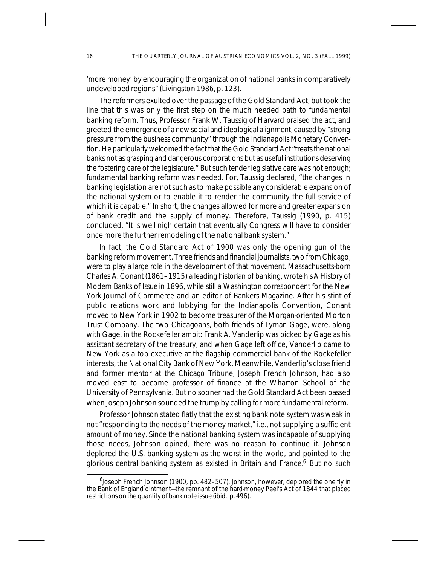'more money' by encouraging the organization of national banks in comparatively undeveloped regions" (Livingston 1986, p. 123).

The reformers exulted over the passage of the Gold Standard Act, but took the line that this was only the first step on the much needed path to fundamental banking reform. Thus, Professor Frank W. Taussig of Harvard praised the act, and greeted the emergence of a new social and ideological alignment, caused by "strong pressure from the business community" through the Indianapolis Monetary Convention. He particularly welcomed the fact that the Gold Standard Act "treats the national banks not as grasping and dangerous corporations but as useful institutions deserving the fostering care of the legislature." But such tender legislative care was not enough; fundamental banking reform was needed. For, Taussig declared, "the changes in banking legislation are not such as to make possible any considerable expansion of the national system or to enable it to render the community the full service of which it is capable." In short, the changes allowed for more and greater expansion of bank credit and the supply of money. Therefore, Taussig (1990, p. 415) concluded, "It is well nigh certain that eventually Congress will have to consider once more the further remodeling of the national bank system."

In fact, the Gold Standard Act of 1900 was only the opening gun of the banking reform movement. Three friends and financial journalists, two from Chicago, were to play a large role in the development of that movement. Massachusetts-born Charles A. Conant (1861–1915) a leading historian of banking, wrote his *A History of Modern Banks of Issue* in 1896, while still a Washington correspondent for the New York *Journal of Commerce* and an editor of *Bankers Magazine*. After his stint of public relations work and lobbying for the Indianapolis Convention, Conant moved to New York in 1902 to become treasurer of the Morgan-oriented Morton Trust Company. The two Chicagoans, both friends of Lyman Gage, were, along with Gage, in the Rockefeller ambit: Frank A. Vanderlip was picked by Gage as his assistant secretary of the treasury, and when Gage left office, Vanderlip came to New York as a top executive at the flagship commercial bank of the Rockefeller interests, the National City Bank of New York. Meanwhile, Vanderlip's close friend and former mentor at the *Chicago Tribune*, Joseph French Johnson, had also moved east to become professor of finance at the Wharton School of the University of Pennsylvania. But no sooner had the Gold Standard Act been passed when Joseph Johnson sounded the trump by calling for more fundamental reform.

Professor Johnson stated flatly that the existing bank note system was weak in not "responding to the needs of the money market," i.e., not supplying a sufficient amount of money. Since the national banking system was incapable of supplying those needs, Johnson opined, there was no reason to continue it. Johnson deplored the U.S. banking system as the worst in the world, and pointed to the glorious central banking system as existed in Britain and France.<sup>6</sup> But no such

<sup>&</sup>lt;sup>6</sup>Joseph French Johnson (1900, pp. 482–507). Johnson, however, deplored the one fly in the Bank of England ointment—the remnant of the hard-money Peel's Act of 1844 that placed restrictions on the quantity of bank note issue (ibid., p. 496).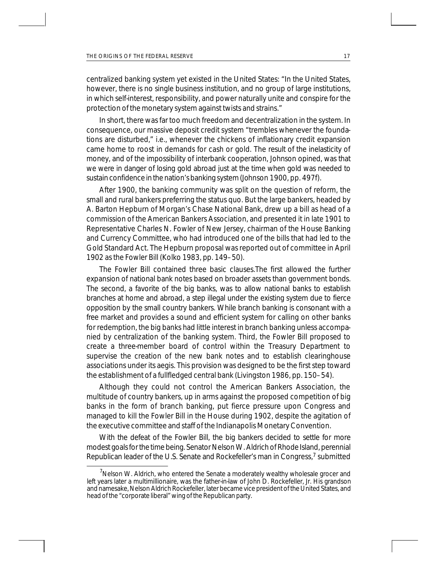centralized banking system yet existed in the United States: "In the United States, however, there is no single business institution, and no group of large institutions, in which self-interest, responsibility, and power naturally unite and conspire for the protection of the monetary system against twists and strains."

In short, there was far too much freedom and decentralization in the system. In consequence, our massive deposit credit system "trembles whenever the foundations are disturbed," i.e., whenever the chickens of inflationary credit expansion came home to roost in demands for cash or gold. The result of the inelasticity of money, and of the impossibility of interbank cooperation, Johnson opined, was that we were in danger of losing gold abroad just at the time when gold was needed to sustain confidence in the nation's banking system (Johnson 1900, pp. 497f).

After 1900, the banking community was split on the question of reform, the small and rural bankers preferring the status quo. But the large bankers, headed by A. Barton Hepburn of Morgan's Chase National Bank, drew up a bill as head of a commission of the American Bankers Association, and presented it in late 1901 to Representative Charles N. Fowler of New Jersey, chairman of the House Banking and Currency Committee, who had introduced one of the bills that had led to the Gold Standard Act. The Hepburn proposal was reported out of committee in April 1902 as the Fowler Bill (Kolko 1983, pp. 149–50).

The Fowler Bill contained three basic clauses.The first allowed the further expansion of national bank notes based on broader assets than government bonds. The second, a favorite of the big banks, was to allow national banks to establish branches at home and abroad, a step illegal under the existing system due to fierce opposition by the small country bankers. While branch banking is consonant with a free market and provides a sound and efficient system for calling on other banks for redemption, the big banks had little interest in branch banking unless accompanied by centralization of the banking system. Third, the Fowler Bill proposed to create a three-member board of control within the Treasury Department to supervise the creation of the new bank notes and to establish clearinghouse associations under its aegis. This provision was designed to be the first step toward the establishment of a fullfledged central bank (Livingston 1986, pp. 150–54).

Although they could not control the American Bankers Association, the multitude of country bankers, up in arms against the proposed competition of big banks in the form of branch banking, put fierce pressure upon Congress and managed to kill the Fowler Bill in the House during 1902, despite the agitation of the executive committee and staff of the Indianapolis Monetary Convention.

With the defeat of the Fowler Bill, the big bankers decided to settle for more modest goals for the time being. Senator Nelson W. Aldrich of Rhode Island, perennial Republican leader of the U.S. Senate and Rockefeller's man in Congress,7 submitted

<sup>7</sup>Nelson W. Aldrich, who entered the Senate a moderately wealthy wholesale grocer and left years later a multimillionaire, was the father-in-law of John D. Rockefeller, Jr. His grandson and namesake, Nelson Aldrich Rockefeller, later became vice president of the United States, and head of the "corporate liberal" wing of the Republican party.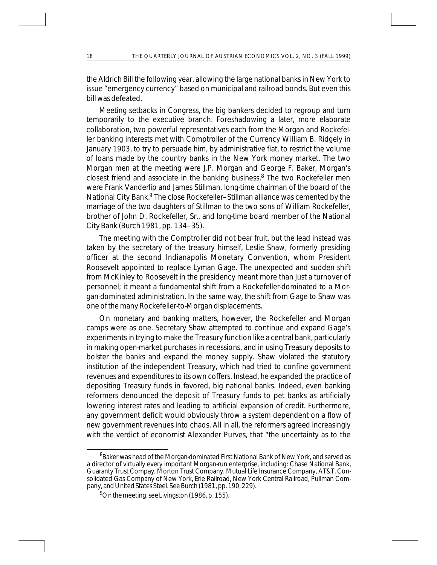the Aldrich Bill the following year, allowing the large national banks in New York to issue "emergency currency" based on municipal and railroad bonds. But even this bill was defeated.

Meeting setbacks in Congress, the big bankers decided to regroup and turn temporarily to the executive branch. Foreshadowing a later, more elaborate collaboration, two powerful representatives each from the Morgan and Rockefeller banking interests met with Comptroller of the Currency William B. Ridgely in January 1903, to try to persuade him, by administrative fiat, to restrict the volume of loans made by the country banks in the New York money market. The two Morgan men at the meeting were J.P. Morgan and George F. Baker, Morgan's closest friend and associate in the banking business.<sup>8</sup> The two Rockefeller men were Frank Vanderlip and James Stillman, long-time chairman of the board of the National City Bank.<sup>9</sup> The close Rockefeller-Stillman alliance was cemented by the marriage of the two daughters of Stillman to the two sons of William Rockefeller, brother of John D. Rockefeller, Sr., and long-time board member of the National City Bank (Burch 1981, pp. 134–35).

The meeting with the Comptroller did not bear fruit, but the lead instead was taken by the secretary of the treasury himself, Leslie Shaw, formerly presiding officer at the second Indianapolis Monetary Convention, whom President Roosevelt appointed to replace Lyman Gage. The unexpected and sudden shift from McKinley to Roosevelt in the presidency meant more than just a turnover of personnel; it meant a fundamental shift from a Rockefeller-dominated to a Morgan-dominated administration. In the same way, the shift from Gage to Shaw was one of the many Rockefeller-to-Morgan displacements.

On monetary and banking matters, however, the Rockefeller and Morgan camps were as one. Secretary Shaw attempted to continue and expand Gage's experiments in trying to make the Treasury function like a central bank, particularly in making open-market purchases in recessions, and in using Treasury deposits to bolster the banks and expand the money supply. Shaw violated the statutory institution of the independent Treasury, which had tried to confine government revenues and expenditures to its own coffers. Instead, he expanded the practice of depositing Treasury funds in favored, big national banks. Indeed, even banking reformers denounced the deposit of Treasury funds to pet banks as artificially lowering interest rates and leading to artificial expansion of credit. Furthermore, any government deficit would obviously throw a system dependent on a flow of new government revenues into chaos. All in all, the reformers agreed increasingly with the verdict of economist Alexander Purves, that "the uncertainty as to the

 ${}^{8}$ Baker was head of the Morgan-dominated First National Bank of New York, and served as a director of virtually every important Morgan-run enterprise, including: Chase National Bank, Guaranty Trust Compay, Morton Trust Company, Mutual Life Insurance Company, AT&T, Consolidated Gas Company of New York, Erie Railroad, New York Central Railroad, Pullman Company, and United States Steel. See Burch (1981, pp. 190, 229).

 $^{9}$ On the meeting, see Livingston (1986, p. 155).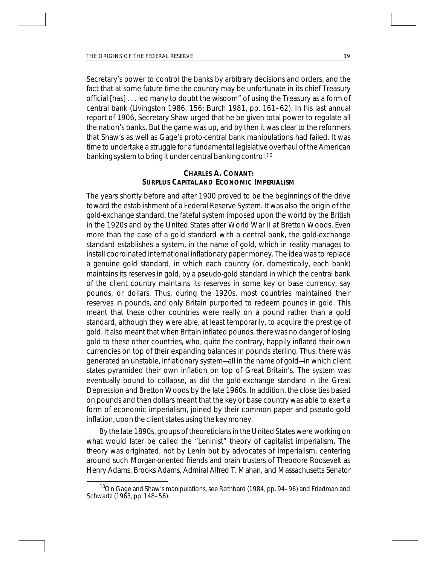Secretary's power to control the banks by arbitrary decisions and orders, and the fact that at some future time the country may be unfortunate in its chief Treasury official [has] . . . led many to doubt the wisdom" of using the Treasury as a form of central bank (Livingston 1986, 156; Burch 1981, pp. 161–62). In his last annual report of 1906, Secretary Shaw urged that he be given total power to regulate all the nation's banks. But the game was up, and by then it was clear to the reformers that Shaw's as well as Gage's proto-central bank manipulations had failed. It was time to undertake a struggle for a fundamental legislative overhaul of the American banking system to bring it under central banking control.<sup>10</sup>

## **CHARLES A. CONANT: SURPLUS CAPITAL AND ECONOMIC IMPERIALISM**

The years shortly before and after 1900 proved to be the beginnings of the drive toward the establishment of a Federal Reserve System. It was also the origin of the gold-exchange standard, the fateful system imposed upon the world by the British in the 1920s and by the United States after World War II at Bretton Woods. Even more than the case of a gold standard with a central bank, the gold-exchange standard establishes a system, in the name of gold, which in reality manages to install coordinated international inflationary paper money. The idea was to replace a genuine gold standard, in which each country (or, domestically, each bank) maintains its reserves in gold, by a pseudo-gold standard in which the central bank of the client country maintains its reserves in some key or base currency, say pounds, or dollars. Thus, during the 1920s, most countries maintained their reserves in pounds, and only Britain purported to redeem pounds in gold. This meant that these other countries were really on a pound rather than a gold standard, although they were able, at least temporarily, to acquire the prestige of gold. It also meant that when Britain inflated pounds, there was no danger of losing gold to these other countries, who, quite the contrary, happily inflated their own currencies on top of their expanding balances in pounds sterling. Thus, there was generated an unstable, inflationary system—all in the name of gold—in which client states pyramided their own inflation on top of Great Britain's. The system was eventually bound to collapse, as did the gold-exchange standard in the Great Depression and Bretton Woods by the late 1960s. In addition, the close ties based on pounds and then dollars meant that the key or base country was able to exert a form of economic imperialism, joined by their common paper and pseudo-gold inflation, upon the client states using the key money.

By the late 1890s, groups of theoreticians in the United States were working on what would later be called the "Leninist" theory of capitalist imperialism. The theory was originated, not by Lenin but by advocates of imperialism, centering around such Morgan-oriented friends and brain trusters of Theodore Roosevelt as Henry Adams, Brooks Adams, Admiral Alfred T. Mahan, and Massachusetts Senator

<sup>&</sup>lt;sup>10</sup>On Gage and Shaw's manipulations, see Rothbard (1984, pp. 94–96) and Friedman and Schwartz (1963, pp. 148–56).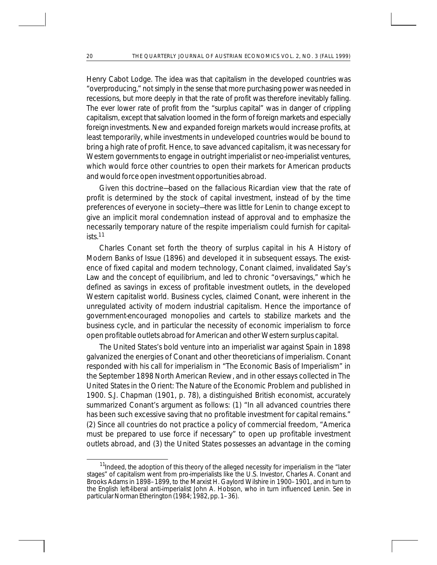Henry Cabot Lodge. The idea was that capitalism in the developed countries was "overproducing," not simply in the sense that more purchasing power was needed in recessions, but more deeply in that the rate of profit was therefore inevitably falling. The ever lower rate of profit from the "surplus capital" was in danger of crippling capitalism, except that salvation loomed in the form of foreign markets and especially foreign investments. New and expanded foreign markets would increase profits, at least temporarily, while investments in undeveloped countries would be bound to bring a high rate of profit. Hence, to save advanced capitalism, it was necessary for Western governments to engage in outright imperialist or neo-imperialist ventures, which would force other countries to open their markets for American products and would force open investment opportunities abroad.

Given this doctrine—based on the fallacious Ricardian view that the rate of profit is determined by the stock of capital investment, instead of by the time preferences of everyone in society—there was little for Lenin to change except to give an implicit moral condemnation instead of approval and to emphasize the necessarily temporary nature of the respite imperialism could furnish for capitalists.<sup>11</sup>

Charles Conant set forth the theory of surplus capital in his *A History of Modern Banks of Issue* (1896) and developed it in subsequent essays. The existence of fixed capital and modern technology, Conant claimed, invalidated Say's Law and the concept of equilibrium, and led to chronic "oversavings," which he defined as savings in excess of profitable investment outlets, in the developed Western capitalist world. Business cycles, claimed Conant, were inherent in the unregulated activity of modern industrial capitalism. Hence the importance of government-encouraged monopolies and cartels to stabilize markets and the business cycle, and in particular the necessity of economic imperialism to force open profitable outlets abroad for American and other Western surplus capital.

The United States's bold venture into an imperialist war against Spain in 1898 galvanized the energies of Conant and other theoreticians of imperialism. Conant responded with his call for imperialism in "The Economic Basis of Imperialism" in the September 1898 *North American Review*, and in other essays collected in *The United States in the Orient: The Nature of the Economic Problem* and published in 1900. S.J. Chapman (1901, p. 78), a distinguished British economist, accurately summarized Conant's argument as follows: (1) "In all advanced countries there has been such excessive saving that no profitable investment for capital remains." (2) Since all countries do not practice a policy of commercial freedom, "America must be prepared to use force if necessary" to open up profitable investment outlets abroad, and (3) the United States possesses an advantage in the coming

<sup>&</sup>lt;sup>11</sup>Indeed, the adoption of this theory of the alleged necessity for imperialism in the "later stages" of capitalism went from pro-imperialists like the U.S. Investor, Charles A. Conant and Brooks Adams in 1898–1899, to the Marxist H. Gaylord Wilshire in 1900–1901, and in turn to the English left-liberal anti-imperialist John A. Hobson, who in turn influenced Lenin. See in particular Norman Etherington (1984; 1982, pp. 1–36).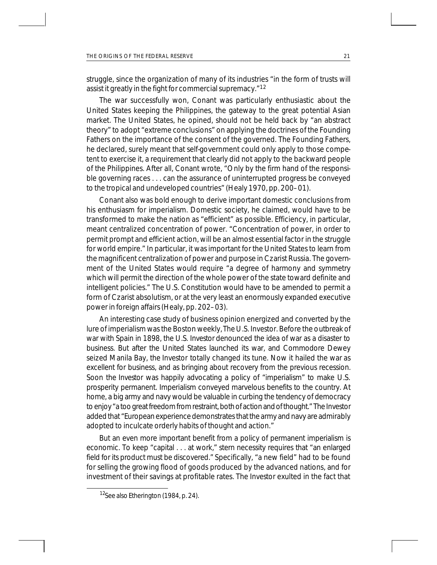struggle, since the organization of many of its industries "in the form of trusts will assist it greatly in the fight for commercial supremacy."<sup>12</sup>

The war successfully won, Conant was particularly enthusiastic about the United States keeping the Philippines, the gateway to the great potential Asian market. The United States, he opined, should not be held back by "an abstract theory" to adopt "extreme conclusions" on applying the doctrines of the Founding Fathers on the importance of the consent of the governed. The Founding Fathers, he declared, surely meant that self-government could only apply to those competent to exercise it, a requirement that clearly did not apply to the backward people of the Philippines. After all, Conant wrote, "Only by the firm hand of the responsible governing races . . . can the assurance of uninterrupted progress be conveyed to the tropical and undeveloped countries" (Healy 1970, pp. 200–01).

Conant also was bold enough to derive important domestic conclusions from his enthusiasm for imperialism. Domestic society, he claimed, would have to be transformed to make the nation as "efficient" as possible. Efficiency, in particular, meant centralized concentration of power. "Concentration of power, in order to permit prompt and efficient action, will be an almost essential factor in the struggle for world empire." In particular, it was important for the United States to learn from the magnificent centralization of power and purpose in Czarist Russia. The government of the United States would require "a degree of harmony and symmetry which will permit the direction of the whole power of the state toward definite and intelligent policies." The U.S. Constitution would have to be amended to permit a form of Czarist absolutism, or at the very least an enormously expanded executive power in foreign affairs (Healy, pp. 202–03).

An interesting case study of business opinion energized and converted by the lure of imperialism was the Boston weekly, *The U.S. Investor*. Before the outbreak of war with Spain in 1898, the *U.S. Investor* denounced the idea of war as a disaster to business. But after the United States launched its war, and Commodore Dewey seized Manila Bay, the *Investor* totally changed its tune. Now it hailed the war as excellent for business, and as bringing about recovery from the previous recession. Soon the *Investor* was happily advocating a policy of "imperialism" to make U.S. prosperity permanent. Imperialism conveyed marvelous benefits to the country. At home, a big army and navy would be valuable in curbing the tendency of democracy to enjoy "a too great freedom from restraint, both of action and of thought." The *Investor* added that "European experience demonstrates that the army and navy are admirably adopted to inculcate orderly habits of thought and action."

But an even more important benefit from a policy of permanent imperialism is economic. To keep "capital . . . at work," stern necessity requires that "an enlarged field for its product must be discovered." Specifically, "a new field" had to be found for selling the growing flood of goods produced by the advanced nations, and for investment of their savings at profitable rates. The *Investor* exulted in the fact that

<sup>&</sup>lt;sup>12</sup>See also Etherington (1984, p. 24).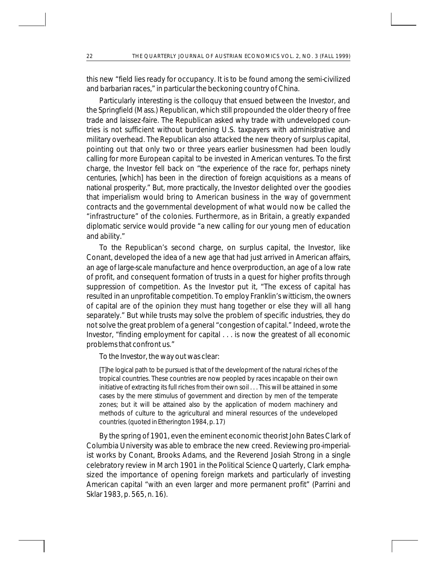this new "field lies ready for occupancy. It is to be found among the semi-civilized and barbarian races," in particular the beckoning country of China.

Particularly interesting is the colloquy that ensued between the *Investor*, and the *Springfield* (Mass.) *Republican*, which still propounded the older theory of free trade and laissez-faire. The *Republican* asked why trade with undeveloped countries is not sufficient without burdening U.S. taxpayers with administrative and military overhead. The *Republican* also attacked the new theory of surplus capital, pointing out that only two or three years earlier businessmen had been loudly calling for more European capital to be invested in American ventures. To the first charge, the *Investor* fell back on "the experience of the race for, perhaps ninety centuries, [which] has been in the direction of foreign acquisitions as a means of national prosperity." But, more practically, the *Investor* delighted over the goodies that imperialism would bring to American business in the way of government contracts and the governmental development of what would now be called the "infrastructure" of the colonies. Furthermore, as in Britain, a greatly expanded diplomatic service would provide "a new calling for our young men of education and ability."

To the *Republican*'s second charge, on surplus capital, the *Investor*, like Conant, developed the idea of a new age that had just arrived in American affairs, an age of large-scale manufacture and hence overproduction, an age of a low rate of profit, and consequent formation of trusts in a quest for higher profits through suppression of competition. As the *Investor* put it, "The excess of capital has resulted in an unprofitable competition. To employ Franklin's witticism, the owners of capital are of the opinion they must hang together or else they will all hang separately." But while trusts may solve the problem of specific industries, they do not solve the great problem of a general "congestion of capital." Indeed, wrote the *Investor*, "finding employment for capital . . . is now the greatest of all economic problems that confront us."

To the *Investor*, the way out was clear:

[T]he logical path to be pursued is that of the development of the natural riches of the tropical countries. These countries are now peopled by races incapable on their own initiative of extracting its full riches from their own soil . . . This will be attained in some cases by the mere stimulus of government and direction by men of the temperate zones; but it will be attained also by the application of modern machinery and methods of culture to the agricultural and mineral resources of the undeveloped countries. (quoted in Etherington 1984, p. 17)

By the spring of 1901, even the eminent economic theorist John Bates Clark of Columbia University was able to embrace the new creed. Reviewing pro-imperialist works by Conant, Brooks Adams, and the Reverend Josiah Strong in a single celebratory review in March 1901 in the *Political Science Quarterly*, Clark emphasized the importance of opening foreign markets and particularly of investing American capital "with an even larger and more permanent profit" (Parrini and Sklar 1983, p. 565, n. 16).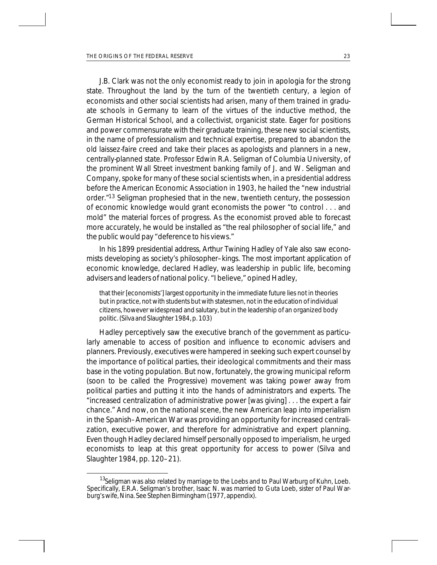J.B. Clark was not the only economist ready to join in apologia for the strong state. Throughout the land by the turn of the twentieth century, a legion of economists and other social scientists had arisen, many of them trained in graduate schools in Germany to learn of the virtues of the inductive method, the German Historical School, and a collectivist, organicist state. Eager for positions and power commensurate with their graduate training, these new social scientists, in the name of professionalism and technical expertise, prepared to abandon the old laissez-faire creed and take their places as apologists and planners in a new, centrally-planned state. Professor Edwin R.A. Seligman of Columbia University, of the prominent Wall Street investment banking family of J. and W. Seligman and Company, spoke for many of these social scientists when, in a presidential address before the American Economic Association in 1903, he hailed the "new industrial order."13 Seligman prophesied that in the new, twentieth century, the possession of economic knowledge would grant economists the power "to control . . . and mold" the material forces of progress. As the economist proved able to forecast more accurately, he would be installed as "the real philosopher of social life," and the public would pay "deference to his views."

In his 1899 presidential address, Arthur Twining Hadley of Yale also saw economists developing as society's philosopher–kings. The most important application of economic knowledge, declared Hadley, was leadership in public life, becoming advisers and leaders of national policy. "I believe," opined Hadley,

that their [economists'] largest opportunity in the immediate future lies not in theories but in practice, not with students but with statesmen, not in the education of individual citizens, however widespread and salutary, but in the leadership of an organized body politic. (Silva and Slaughter 1984, p. 103)

Hadley perceptively saw the executive branch of the government as particularly amenable to access of position and influence to economic advisers and planners. Previously, executives were hampered in seeking such expert counsel by the importance of political parties, their ideological commitments and their mass base in the voting population. But now, fortunately, the growing municipal reform (soon to be called the Progressive) movement was taking power away from political parties and putting it into the hands of administrators and experts. The "increased centralization of administrative power [was giving] . . . the expert a fair chance." And now, on the national scene, the new American leap into imperialism in the Spanish–American War was providing an opportunity for increased centralization, executive power, and therefore for administrative and expert planning. Even though Hadley declared himself personally opposed to imperialism, he urged economists to leap at this great opportunity for access to power (Silva and Slaughter 1984, pp. 120–21).

<sup>&</sup>lt;sup>13</sup>Seligman was also related by marriage to the Loebs and to Paul Warburg of Kuhn, Loeb. Specifically, E.R.A. Seligman's brother, Isaac N. was married to Guta Loeb, sister of Paul Warburg's wife, Nina. See Stephen Birmingham (1977, appendix).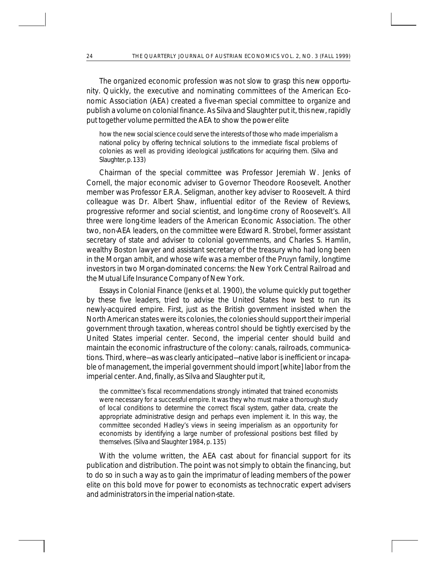The organized economic profession was not slow to grasp this new opportunity. Quickly, the executive and nominating committees of the American Economic Association (AEA) created a five-man special committee to organize and publish a volume on colonial finance. As Silva and Slaughter put it, this new, rapidly put together volume permitted the AEA to show the power elite

how the new social science could serve the interests of those who made imperialism a national policy by offering technical solutions to the immediate fiscal problems of colonies as well as providing ideological justifications for acquiring them. (Silva and Slaughter, p. 133)

Chairman of the special committee was Professor Jeremiah W. Jenks of Cornell, the major economic adviser to Governor Theodore Roosevelt. Another member was Professor E.R.A. Seligman, another key adviser to Roosevelt. A third colleague was Dr. Albert Shaw, influential editor of the *Review of Reviews*, progressive reformer and social scientist, and long-time crony of Roosevelt's. All three were long-time leaders of the American Economic Association. The other two, non-AEA leaders, on the committee were Edward R. Strobel, former assistant secretary of state and adviser to colonial governments, and Charles S. Hamlin, wealthy Boston lawyer and assistant secretary of the treasury who had long been in the Morgan ambit, and whose wife was a member of the Pruyn family, longtime investors in two Morgan-dominated concerns: the New York Central Railroad and the Mutual Life Insurance Company of New York.

*Essays in Colonial Finance* (Jenks et al. 1900), the volume quickly put together by these five leaders, tried to advise the United States how best to run its newly-acquired empire. First, just as the British government insisted when the North American states were its colonies, the colonies should support their imperial government through taxation, whereas control should be tightly exercised by the United States imperial center. Second, the imperial center should build and maintain the economic infrastructure of the colony: canals, railroads, communications. Third, where—as was clearly anticipated—native labor is inefficient or incapable of management, the imperial government should import [white] labor from the imperial center. And, finally, as Silva and Slaughter put it,

the committee's fiscal recommendations strongly intimated that trained economists were necessary for a successful empire. It was they who must make a thorough study of local conditions to determine the correct fiscal system, gather data, create the appropriate administrative design and perhaps even implement it. In this way, the committee seconded Hadley's views in seeing imperialism as an opportunity for economists by identifying a large number of professional positions best filled by themselves. (Silva and Slaughter 1984, p. 135)

With the volume written, the AEA cast about for financial support for its publication and distribution. The point was not simply to obtain the financing, but to do so in such a way as to gain the imprimatur of leading members of the power elite on this bold move for power to economists as technocratic expert advisers and administrators in the imperial nation-state.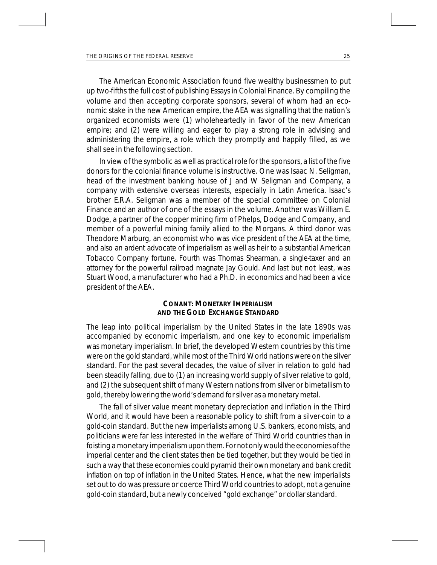The American Economic Association found five wealthy businessmen to put up two-fifths the full cost of publishing *Essays in Colonial Finance*. By compiling the volume and then accepting corporate sponsors, several of whom had an economic stake in the new American empire, the AEA was signalling that the nation's organized economists were (1) wholeheartedly in favor of the new American empire; and (2) were willing and eager to play a strong role in advising and administering the empire, a role which they promptly and happily filled, as we shall see in the following section.

In view of the symbolic as well as practical role for the sponsors, a list of the five donors for the colonial finance volume is instructive. One was Isaac N. Seligman, head of the investment banking house of J and W Seligman and Company, a company with extensive overseas interests, especially in Latin America. Isaac's brother E.R.A. Seligman was a member of the special committee on Colonial Finance and an author of one of the essays in the volume. Another was William E. Dodge, a partner of the copper mining firm of Phelps, Dodge and Company, and member of a powerful mining family allied to the Morgans. A third donor was Theodore Marburg, an economist who was vice president of the AEA at the time, and also an ardent advocate of imperialism as well as heir to a substantial American Tobacco Company fortune. Fourth was Thomas Shearman, a single-taxer and an attorney for the powerful railroad magnate Jay Gould. And last but not least, was Stuart Wood, a manufacturer who had a Ph.D. in economics and had been a vice president of the AEA.

#### **CONANT: MONETARY IMPERIALISM AND THE GOLD EXCHANGE STANDARD**

The leap into political imperialism by the United States in the late 1890s was accompanied by economic imperialism, and one key to economic imperialism was monetary imperialism. In brief, the developed Western countries by this time were on the gold standard, while most of the Third World nations were on the silver standard. For the past several decades, the value of silver in relation to gold had been steadily falling, due to (1) an increasing world supply of silver relative to gold, and (2) the subsequent shift of many Western nations from silver or bimetallism to gold, thereby lowering the world's demand for silver as a monetary metal.

The fall of silver value meant monetary depreciation and inflation in the Third World, and it would have been a reasonable policy to shift from a silver-coin to a gold-coin standard. But the new imperialists among U.S. bankers, economists, and politicians were far less interested in the welfare of Third World countries than in foisting a monetary imperialism upon them. For not only would the economies of the imperial center and the client states then be tied together, but they would be tied in such a way that these economies could pyramid their own monetary and bank credit inflation on top of inflation in the United States. Hence, what the new imperialists set out to do was pressure or coerce Third World countries to adopt, not a genuine gold-coin standard, but a newly conceived "gold exchange" or dollar standard.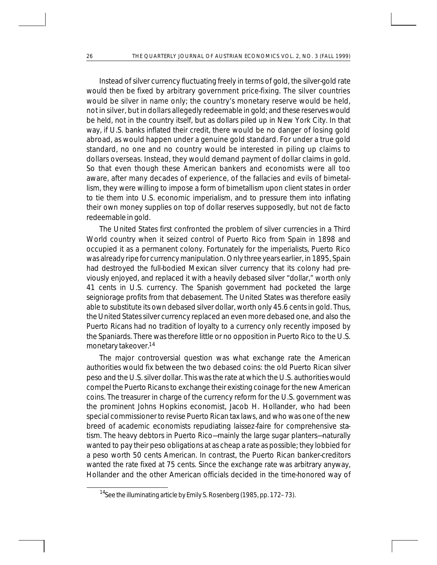Instead of silver currency fluctuating freely in terms of gold, the silver-gold rate would then be fixed by arbitrary government price-fixing. The silver countries would be silver in name only; the country's monetary reserve would be held, not in silver, but in dollars allegedly redeemable in gold; and these reserves would be held, not in the country itself, but as dollars piled up in New York City. In that way, if U.S. banks inflated their credit, there would be no danger of losing gold abroad, as would happen under a genuine gold standard. For under a true gold standard, no one and no country would be interested in piling up claims to dollars overseas. Instead, they would demand payment of dollar claims in gold. So that even though these American bankers and economists were all too aware, after many decades of experience, of the fallacies and evils of bimetallism, they were willing to impose a form of bimetallism upon client states in order to tie them into U.S. economic imperialism, and to pressure them into inflating their own money supplies on top of dollar reserves supposedly, but not *de facto* redeemable in gold.

The United States first confronted the problem of silver currencies in a Third World country when it seized control of Puerto Rico from Spain in 1898 and occupied it as a permanent colony. Fortunately for the imperialists, Puerto Rico was already ripe for currency manipulation. Only three years earlier, in 1895, Spain had destroyed the full-bodied Mexican silver currency that its colony had previously enjoyed, and replaced it with a heavily debased silver "dollar," worth only 41 cents in U.S. currency. The Spanish government had pocketed the large seigniorage profits from that debasement. The United States was therefore easily able to substitute its own debased silver dollar, worth only 45.6 cents in gold. Thus, the United States silver currency replaced an even more debased one, and also the Puerto Ricans had no tradition of loyalty to a currency only recently imposed by the Spaniards. There was therefore little or no opposition in Puerto Rico to the U.S. monetary takeover.<sup>14</sup>

The major controversial question was what exchange rate the American authorities would fix between the two debased coins: the old Puerto Rican silver peso and the U.S. silver dollar. This was the rate at which the U.S. authorities would compel the Puerto Ricans to exchange their existing coinage for the new American coins. The treasurer in charge of the currency reform for the U.S. government was the prominent Johns Hopkins economist, Jacob H. Hollander, who had been special commissioner to revise Puerto Rican tax laws, and who was one of the new breed of academic economists repudiating laissez-faire for comprehensive statism. The heavy debtors in Puerto Rico—mainly the large sugar planters—naturally wanted to pay their peso obligations at as cheap a rate as possible; they lobbied for a peso worth 50 cents American. In contrast, the Puerto Rican banker-creditors wanted the rate fixed at 75 cents. Since the exchange rate was arbitrary anyway, Hollander and the other American officials decided in the time-honored way of

 $14$ See the illuminating article by Emily S. Rosenberg (1985, pp. 172–73).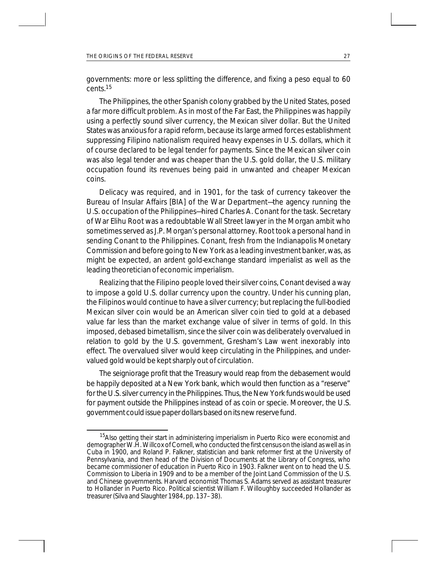governments: more or less splitting the difference, and fixing a peso equal to 60 cents.<sup>15</sup>

The Philippines, the other Spanish colony grabbed by the United States, posed a far more difficult problem. As in most of the Far East, the Philippines was happily using a perfectly sound silver currency, the Mexican silver dollar. But the United States was anxious for a rapid reform, because its large armed forces establishment suppressing Filipino nationalism required heavy expenses in U.S. dollars, which it of course declared to be legal tender for payments. Since the Mexican silver coin was also legal tender and was cheaper than the U.S. gold dollar, the U.S. military occupation found its revenues being paid in unwanted and cheaper Mexican coins.

Delicacy was required, and in 1901, for the task of currency takeover the Bureau of Insular Affairs [BIA] of the War Department—the agency running the U.S. occupation of the Philippines—hired Charles A. Conant for the task. Secretary of War Elihu Root was a redoubtable Wall Street lawyer in the Morgan ambit who sometimes served as J.P. Morgan's personal attorney. Root took a personal hand in sending Conant to the Philippines. Conant, fresh from the Indianapolis Monetary Commission and before going to New York as a leading investment banker, was, as might be expected, an ardent gold-exchange standard imperialist as well as the leading theoretician of economic imperialism.

Realizing that the Filipino people loved their silver coins, Conant devised a way to impose a gold U.S. dollar currency upon the country. Under his cunning plan, the Filipinos would continue to have a silver currency; but replacing the full-bodied Mexican silver coin would be an American silver coin tied to gold at a debased value far less than the market exchange value of silver in terms of gold. In this imposed, debased bimetallism, since the silver coin was deliberately overvalued in relation to gold by the U.S. government, Gresham's Law went inexorably into effect. The overvalued silver would keep circulating in the Philippines, and undervalued gold would be kept sharply out of circulation.

The seigniorage profit that the Treasury would reap from the debasement would be happily deposited at a New York bank, which would then function as a "reserve" for the U.S. silver currency in the Philippines. Thus, the New York funds would be used for payment outside the Philippines instead of as coin or specie. Moreover, the U.S. government could issue paper dollars based on its new reserve fund.

<sup>&</sup>lt;sup>15</sup>Also getting their start in administering imperialism in Puerto Rico were economist and demographer W.H. Willcox of Cornell, who conducted the first census on the island as well as in Cuba in 1900, and Roland P. Falkner, statistician and bank reformer first at the University of Pennsylvania, and then head of the Division of Documents at the Library of Congress, who became commissioner of education in Puerto Rico in 1903. Falkner went on to head the U.S. Commission to Liberia in 1909 and to be a member of the Joint Land Commission of the U.S. and Chinese governments. Harvard economist Thomas S. Adams served as assistant treasurer to Hollander in Puerto Rico. Political scientist William F. Willoughby succeeded Hollander as treasurer (Silva and Slaughter 1984, pp. 137–38).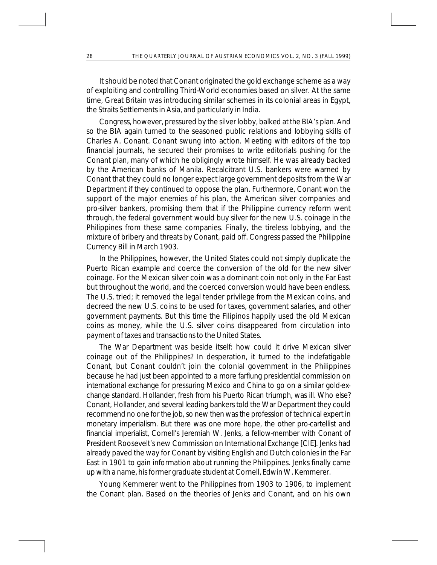It should be noted that Conant originated the gold exchange scheme as a way of exploiting and controlling Third-World economies based on silver. At the same time, Great Britain was introducing similar schemes in its colonial areas in Egypt, the Straits Settlements in Asia, and particularly in India.

Congress, however, pressured by the silver lobby, balked at the BIA's plan. And so the BIA again turned to the seasoned public relations and lobbying skills of Charles A. Conant. Conant swung into action. Meeting with editors of the top financial journals, he secured their promises to write editorials pushing for the Conant plan, many of which he obligingly wrote himself. He was already backed by the American banks of Manila. Recalcitrant U.S. bankers were warned by Conant that they could no longer expect large government deposits from the War Department if they continued to oppose the plan. Furthermore, Conant won the support of the major enemies of his plan, the American silver companies and pro-silver bankers, promising them that if the Philippine currency reform went through, the federal government would buy silver for the new U.S. coinage in the Philippines from these same companies. Finally, the tireless lobbying, and the mixture of bribery and threats by Conant, paid off. Congress passed the Philippine Currency Bill in March 1903.

In the Philippines, however, the United States could not simply duplicate the Puerto Rican example and coerce the conversion of the old for the new silver coinage. For the Mexican silver coin was a dominant coin not only in the Far East but throughout the world, and the coerced conversion would have been endless. The U.S. tried; it removed the legal tender privilege from the Mexican coins, and decreed the new U.S. coins to be used for taxes, government salaries, and other government payments. But this time the Filipinos happily used the old Mexican coins as money, while the U.S. silver coins disappeared from circulation into payment of taxes and transactions to the United States.

The War Department was beside itself: how could it drive Mexican silver coinage out of the Philippines? In desperation, it turned to the indefatigable Conant, but Conant couldn't join the colonial government in the Philippines because he had just been appointed to a more farflung presidential commission on international exchange for pressuring Mexico and China to go on a similar gold-exchange standard. Hollander, fresh from his Puerto Rican triumph, was ill. Who else? Conant, Hollander, and several leading bankers told the War Department they could recommend no one for the job, so new then was the profession of technical expert in monetary imperialism. But there was one more hope, the other pro-cartellist and financial imperialist, Cornell's Jeremiah W. Jenks, a fellow-member with Conant of President Roosevelt's new Commission on International Exchange [CIE]. Jenks had already paved the way for Conant by visiting English and Dutch colonies in the Far East in 1901 to gain information about running the Philippines. Jenks finally came up with a name, his former graduate student at Cornell, Edwin W. Kemmerer.

Young Kemmerer went to the Philippines from 1903 to 1906, to implement the Conant plan. Based on the theories of Jenks and Conant, and on his own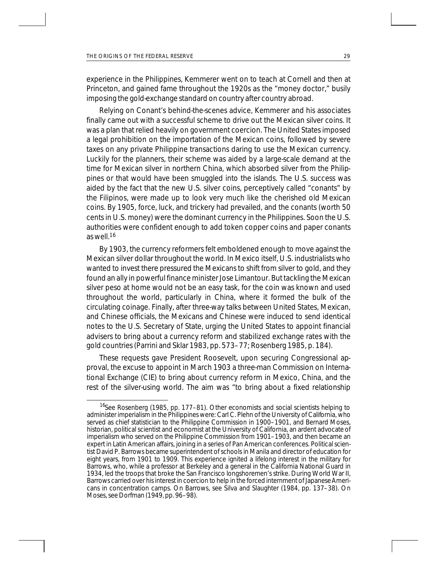experience in the Philippines, Kemmerer went on to teach at Cornell and then at Princeton, and gained fame throughout the 1920s as the "money doctor," busily imposing the gold-exchange standard on country after country abroad.

Relying on Conant's behind-the-scenes advice, Kemmerer and his associates finally came out with a successful scheme to drive out the Mexican silver coins. It was a plan that relied heavily on government coercion. The United States imposed a legal prohibition on the importation of the Mexican coins, followed by severe taxes on any private Philippine transactions daring to use the Mexican currency. Luckily for the planners, their scheme was aided by a large-scale demand at the time for Mexican silver in northern China, which absorbed silver from the Philippines or that would have been smuggled into the islands. The U.S. success was aided by the fact that the new U.S. silver coins, perceptively called "conants" by the Filipinos, were made up to look very much like the cherished old Mexican coins. By 1905, force, luck, and trickery had prevailed, and the conants (worth 50 cents in U.S. money) were the dominant currency in the Philippines. Soon the U.S. authorities were confident enough to add token copper coins and paper conants as well.<sup>16</sup>

By 1903, the currency reformers felt emboldened enough to move against the Mexican silver dollar throughout the world. In Mexico itself, U.S. industrialists who wanted to invest there pressured the Mexicans to shift from silver to gold, and they found an ally in powerful finance minister Jose Limantour. But tackling the Mexican silver peso at home would not be an easy task, for the coin was known and used throughout the world, particularly in China, where it formed the bulk of the circulating coinage. Finally, after three-way talks between United States, Mexican, and Chinese officials, the Mexicans and Chinese were induced to send identical notes to the U.S. Secretary of State, urging the United States to appoint financial advisers to bring about a currency reform and stabilized exchange rates with the gold countries (Parrini and Sklar 1983, pp. 573–77; Rosenberg 1985, p. 184).

These requests gave President Roosevelt, upon securing Congressional approval, the excuse to appoint in March 1903 a three-man Commission on International Exchange (CIE) to bring about currency reform in Mexico, China, and the rest of the silver-using world. The aim was "to bring about a fixed relationship

<sup>&</sup>lt;sup>16</sup>See Rosenberg (1985, pp. 177–81). Other economists and social scientists helping to administer imperialism in the Philippines were: Carl C. Plehn of the University of California, who served as chief statistician to the Philippine Commission in 1900–1901, and Bernard Moses, historian, political scientist and economist at the University of California, an ardent advocate of imperialism who served on the Philippine Commission from 1901–1903, and then became an expert in Latin American affairs, joining in a series of Pan American conferences. Political scientist David P. Barrows became superintendent of schools in Manila and director of education for eight years, from 1901 to 1909. This experience ignited a lifelong interest in the military for Barrows, who, while a professor at Berkeley and a general in the California National Guard in 1934, led the troops that broke the San Francisco longshoremen's strike. During World War II, Barrows carried over his interest in coercion to help in the forced internment of Japanese Americans in concentration camps. On Barrows, see Silva and Slaughter (1984, pp. 137–38). On Moses, see Dorfman (1949, pp. 96–98).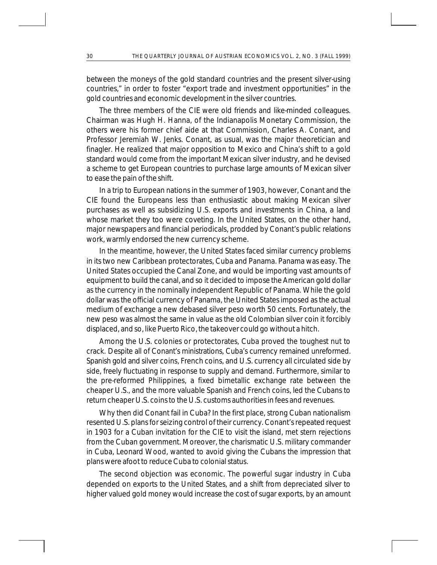between the moneys of the gold standard countries and the present silver-using countries," in order to foster "export trade and investment opportunities" in the gold countries and economic development in the silver countries.

The three members of the CIE were old friends and like-minded colleagues. Chairman was Hugh H. Hanna, of the Indianapolis Monetary Commission, the others were his former chief aide at that Commission, Charles A. Conant, and Professor Jeremiah W. Jenks. Conant, as usual, was the major theoretician and finagler. He realized that major opposition to Mexico and China's shift to a gold standard would come from the important Mexican silver industry, and he devised a scheme to get European countries to purchase large amounts of Mexican silver to ease the pain of the shift.

In a trip to European nations in the summer of 1903, however, Conant and the CIE found the Europeans less than enthusiastic about making Mexican silver purchases as well as subsidizing U.S. exports and investments in China, a land whose market they too were coveting. In the United States, on the other hand, major newspapers and financial periodicals, prodded by Conant's public relations work, warmly endorsed the new currency scheme.

In the meantime, however, the United States faced similar currency problems in its two new Caribbean protectorates, Cuba and Panama. Panama was easy. The United States occupied the Canal Zone, and would be importing vast amounts of equipment to build the canal, and so it decided to impose the American gold dollar as the currency in the nominally independent Republic of Panama. While the gold dollar was the official currency of Panama, the United States imposed as the actual medium of exchange a new debased silver peso worth 50 cents. Fortunately, the new peso was almost the same in value as the old Colombian silver coin it forcibly displaced, and so, like Puerto Rico, the takeover could go without a hitch.

Among the U.S. colonies or protectorates, Cuba proved the toughest nut to crack. Despite all of Conant's ministrations, Cuba's currency remained unreformed. Spanish gold and silver coins, French coins, and U.S. currency all circulated side by side, freely fluctuating in response to supply and demand. Furthermore, similar to the pre-reformed Philippines, a fixed bimetallic exchange rate between the cheaper U.S., and the more valuable Spanish and French coins, led the Cubans to return cheaper U.S. coins to the U.S. customs authorities in fees and revenues.

Why then did Conant fail in Cuba? In the first place, strong Cuban nationalism resented U.S. plans for seizing control of their currency. Conant's repeated request in 1903 for a Cuban invitation for the CIE to visit the island, met stern rejections from the Cuban government. Moreover, the charismatic U.S. military commander in Cuba, Leonard Wood, wanted to avoid giving the Cubans the impression that plans were afoot to reduce Cuba to colonial status.

The second objection was economic. The powerful sugar industry in Cuba depended on exports to the United States, and a shift from depreciated silver to higher valued gold money would increase the cost of sugar exports, by an amount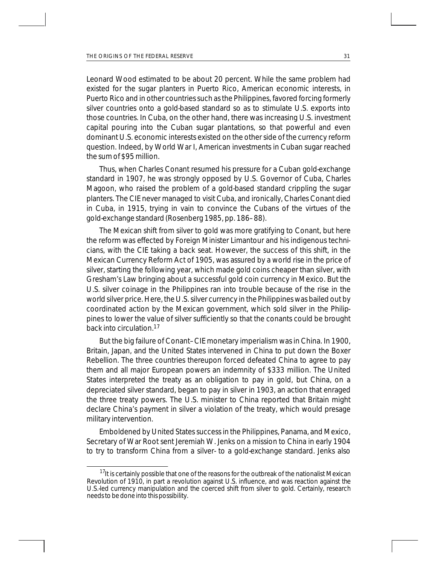Leonard Wood estimated to be about 20 percent. While the same problem had existed for the sugar planters in Puerto Rico, American economic interests, in Puerto Rico and in other countries such as the Philippines, favored forcing formerly silver countries onto a gold-based standard so as to stimulate U.S. exports into those countries. In Cuba, on the other hand, there was increasing U.S. investment capital pouring into the Cuban sugar plantations, so that powerful and even dominant U.S. economic interests existed on the other side of the currency reform question. Indeed, by World War I, American investments in Cuban sugar reached the sum of \$95 million.

Thus, when Charles Conant resumed his pressure for a Cuban gold-exchange standard in 1907, he was strongly opposed by U.S. Governor of Cuba, Charles Magoon, who raised the problem of a gold-based standard crippling the sugar planters. The CIE never managed to visit Cuba, and ironically, Charles Conant died in Cuba, in 1915, trying in vain to convince the Cubans of the virtues of the gold-exchange standard (Rosenberg 1985, pp. 186–88).

The Mexican shift from silver to gold was more gratifying to Conant, but here the reform was effected by Foreign Minister Limantour and his indigenous technicians, with the CIE taking a back seat. However, the success of this shift, in the Mexican Currency Reform Act of 1905, was assured by a world rise in the price of silver, starting the following year, which made gold coins cheaper than silver, with Gresham's Law bringing about a successful gold coin currency in Mexico. But the U.S. silver coinage in the Philippines ran into trouble because of the rise in the world silver price. Here, the U.S. silver currency in the Philippines was bailed out by coordinated action by the Mexican government, which sold silver in the Philippines to lower the value of silver sufficiently so that the conants could be brought back into circulation.<sup>17</sup>

But the big failure of Conant–CIE monetary imperialism was in China. In 1900, Britain, Japan, and the United States intervened in China to put down the Boxer Rebellion. The three countries thereupon forced defeated China to agree to pay them and all major European powers an indemnity of \$333 million. The United States interpreted the treaty as an obligation to pay in gold, but China, on a depreciated silver standard, began to pay in silver in 1903, an action that enraged the three treaty powers. The U.S. minister to China reported that Britain might declare China's payment in silver a violation of the treaty, which would presage military intervention.

Emboldened by United States success in the Philippines, Panama, and Mexico, Secretary of War Root sent Jeremiah W. Jenks on a mission to China in early 1904 to try to transform China from a silver- to a gold-exchange standard. Jenks also

<sup>&</sup>lt;sup>17</sup>It is certainly possible that one of the reasons for the outbreak of the nationalist Mexican Revolution of 1910, in part a revolution against U.S. influence, and was reaction against the U.S.-led currency manipulation and the coerced shift from silver to gold. Certainly, research needs to be done into this possibility.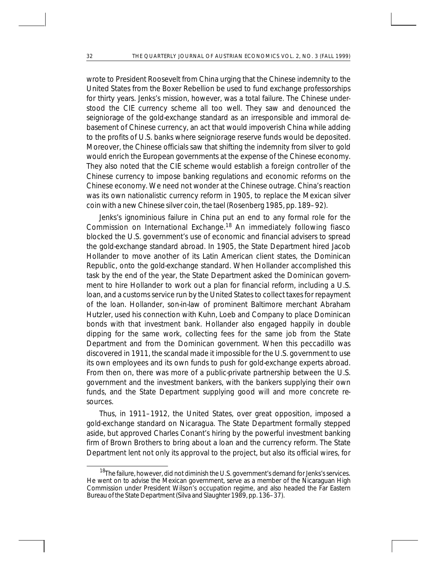wrote to President Roosevelt from China urging that the Chinese indemnity to the United States from the Boxer Rebellion be used to fund exchange professorships for thirty years. Jenks's mission, however, was a total failure. The Chinese understood the CIE currency scheme all too well. They saw and denounced the seigniorage of the gold-exchange standard as an irresponsible and immoral debasement of Chinese currency, an act that would impoverish China while adding to the profits of U.S. banks where seigniorage reserve funds would be deposited. Moreover, the Chinese officials saw that shifting the indemnity from silver to gold would enrich the European governments at the expense of the Chinese economy. They also noted that the CIE scheme would establish a foreign controller of the Chinese currency to impose banking regulations and economic reforms on the Chinese economy. We need not wonder at the Chinese outrage. China's reaction was its own nationalistic currency reform in 1905, to replace the Mexican silver coin with a new Chinese silver coin, the tael (Rosenberg 1985, pp. 189–92).

Jenks's ignominious failure in China put an end to any formal role for the Commission on International Exchange.18 An immediately following fiasco blocked the U.S. government's use of economic and financial advisers to spread the gold-exchange standard abroad. In 1905, the State Department hired Jacob Hollander to move another of its Latin American client states, the Dominican Republic, onto the gold-exchange standard. When Hollander accomplished this task by the end of the year, the State Department asked the Dominican government to hire Hollander to work out a plan for financial reform, including a U.S. loan, and a customs service run by the United States to collect taxes for repayment of the loan. Hollander, son-in-law of prominent Baltimore merchant Abraham Hutzler, used his connection with Kuhn, Loeb and Company to place Dominican bonds with that investment bank. Hollander also engaged happily in double dipping for the same work, collecting fees for the same job from the State Department and from the Dominican government. When this peccadillo was discovered in 1911, the scandal made it impossible for the U.S. government to use its own employees and its own funds to push for gold-exchange experts abroad. From then on, there was more of a public-private partnership between the U.S. government and the investment bankers, with the bankers supplying their own funds, and the State Department supplying good will and more concrete resources.

Thus, in 1911–1912, the United States, over great opposition, imposed a gold-exchange standard on Nicaragua. The State Department formally stepped aside, but approved Charles Conant's hiring by the powerful investment banking firm of Brown Brothers to bring about a loan and the currency reform. The State Department lent not only its approval to the project, but also its official wires, for

<sup>&</sup>lt;sup>18</sup>The failure, however, did not diminish the U.S. government's demand for Jenks's services. He went on to advise the Mexican government, serve as a member of the Nicaraguan High Commission under President Wilson's occupation regime, and also headed the Far Eastern Bureau of the State Department (Silva and Slaughter 1989, pp. 136–37).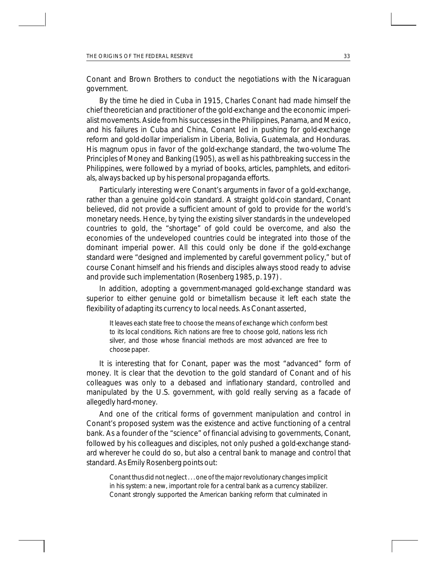Conant and Brown Brothers to conduct the negotiations with the Nicaraguan government.

By the time he died in Cuba in 1915, Charles Conant had made himself the chief theoretician and practitioner of the gold-exchange and the economic imperialist movements. Aside from his successes in the Philippines, Panama, and Mexico, and his failures in Cuba and China, Conant led in pushing for gold-exchange reform and gold-dollar imperialism in Liberia, Bolivia, Guatemala, and Honduras. His *magnum opus* in favor of the gold-exchange standard, the two-volume *The Principles of Money and Banking* (1905), as well as his pathbreaking success in the Philippines, were followed by a myriad of books, articles, pamphlets, and editorials, always backed up by his personal propaganda efforts.

Particularly interesting were Conant's arguments in favor of a gold-exchange, rather than a genuine gold-coin standard. A straight gold-coin standard, Conant believed, did not provide a sufficient amount of gold to provide for the world's monetary needs. Hence, by tying the existing silver standards in the undeveloped countries to gold, the "shortage" of gold could be overcome, and also the economies of the undeveloped countries could be integrated into those of the dominant imperial power. All this could only be done if the gold-exchange standard were "designed and implemented by careful government policy," but of course Conant himself and his friends and disciples always stood ready to advise and provide such implementation (Rosenberg 1985, p. 197) .

In addition, adopting a government-managed gold-exchange standard was superior to either genuine gold or bimetallism because it left each state the flexibility of adapting its currency to local needs. As Conant asserted,

It leaves each state free to choose the means of exchange which conform best to its local conditions. Rich nations are free to choose gold, nations less rich silver, and those whose financial methods are most advanced are free to choose paper.

It is interesting that for Conant, paper was the most "advanced" form of money. It is clear that the devotion to the gold standard of Conant and of his colleagues was only to a debased and inflationary standard, controlled and manipulated by the U.S. government, with gold really serving as a facade of allegedly hard-money.

And one of the critical forms of government manipulation and control in Conant's proposed system was the existence and active functioning of a central bank. As a founder of the "science" of financial advising to governments, Conant, followed by his colleagues and disciples, not only pushed a gold-exchange standard wherever he could do so, but also a central bank to manage and control that standard. As Emily Rosenberg points out:

Conant thus did not neglect . . . one of the major revolutionary changes implicit in his system: a new, important role for a central bank as a currency stabilizer. Conant strongly supported the American banking reform that culminated in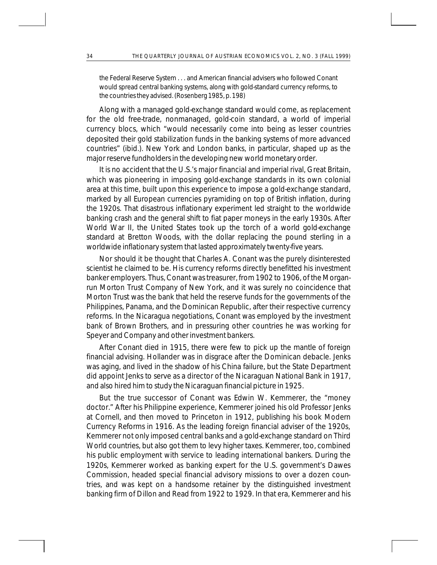the Federal Reserve System . . . and American financial advisers who followed Conant would spread central banking systems, along with gold-standard currency reforms, to the countries they advised. (Rosenberg 1985, p. 198)

Along with a managed gold-exchange standard would come, as replacement for the old free-trade, nonmanaged, gold-coin standard, a world of imperial currency blocs, which "would necessarily come into being as lesser countries deposited their gold stabilization funds in the banking systems of more advanced countries" (ibid.). New York and London banks, in particular, shaped up as the major reserve fundholders in the developing new world monetary order.

It is no accident that the U.S.'s major financial and imperial rival, Great Britain, which was pioneering in imposing gold-exchange standards in its own colonial area at this time, built upon this experience to impose a gold-exchange standard, marked by all European currencies pyramiding on top of British inflation, during the 1920s. That disastrous inflationary experiment led straight to the worldwide banking crash and the general shift to fiat paper moneys in the early 1930s. After World War II, the United States took up the torch of a world gold-exchange standard at Bretton Woods, with the dollar replacing the pound sterling in a worldwide inflationary system that lasted approximately twenty-five years.

Nor should it be thought that Charles A. Conant was the purely disinterested scientist he claimed to be. His currency reforms directly benefitted his investment banker employers. Thus, Conant was treasurer, from 1902 to 1906, of the Morganrun Morton Trust Company of New York, and it was surely no coincidence that Morton Trust was the bank that held the reserve funds for the governments of the Philippines, Panama, and the Dominican Republic, after their respective currency reforms. In the Nicaragua negotiations, Conant was employed by the investment bank of Brown Brothers, and in pressuring other countries he was working for Speyer and Company and other investment bankers.

After Conant died in 1915, there were few to pick up the mantle of foreign financial advising. Hollander was in disgrace after the Dominican debacle. Jenks was aging, and lived in the shadow of his China failure, but the State Department did appoint Jenks to serve as a director of the Nicaraguan National Bank in 1917, and also hired him to study the Nicaraguan financial picture in 1925.

But the true successor of Conant was Edwin W. Kemmerer, the "money doctor." After his Philippine experience, Kemmerer joined his old Professor Jenks at Cornell, and then moved to Princeton in 1912, publishing his book *Modern Currency Reforms* in 1916. As the leading foreign financial adviser of the 1920s, Kemmerer not only imposed central banks and a gold-exchange standard on Third World countries, but also got them to levy higher taxes. Kemmerer, too, combined his public employment with service to leading international bankers. During the 1920s, Kemmerer worked as banking expert for the U.S. government's Dawes Commission, headed special financial advisory missions to over a dozen countries, and was kept on a handsome retainer by the distinguished investment banking firm of Dillon and Read from 1922 to 1929. In that era, Kemmerer and his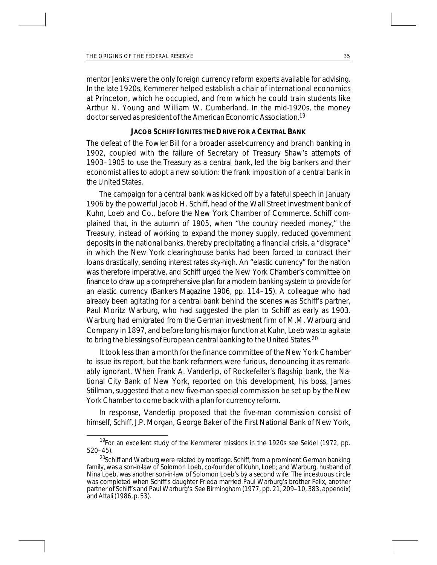mentor Jenks were the only foreign currency reform experts available for advising. In the late 1920s, Kemmerer helped establish a chair of international economics at Princeton, which he occupied, and from which he could train students like Arthur N. Young and William W. Cumberland. In the mid-1920s, the money doctor served as president of the American Economic Association.<sup>19</sup>

#### **JACOB SCHIFF IGNITES THE DRIVE FOR A CENTRAL BANK**

The defeat of the Fowler Bill for a broader asset-currency and branch banking in 1902, coupled with the failure of Secretary of Treasury Shaw's attempts of 1903–1905 to use the Treasury as a central bank, led the big bankers and their economist allies to adopt a new solution: the frank imposition of a central bank in the United States.

The campaign for a central bank was kicked off by a fateful speech in January 1906 by the powerful Jacob H. Schiff, head of the Wall Street investment bank of Kuhn, Loeb and Co., before the New York Chamber of Commerce. Schiff complained that, in the autumn of 1905, when "the country needed money," the Treasury, instead of working to expand the money supply, reduced government deposits in the national banks, thereby precipitating a financial crisis, a "disgrace" in which the New York clearinghouse banks had been forced to contract their loans drastically, sending interest rates sky-high. An "elastic currency" for the nation was therefore imperative, and Schiff urged the New York Chamber's committee on finance to draw up a comprehensive plan for a modern banking system to provide for an elastic currency (*Bankers Magazine* 1906, pp. 114–15). A colleague who had already been agitating for a central bank behind the scenes was Schiff's partner, Paul Moritz Warburg, who had suggested the plan to Schiff as early as 1903. Warburg had emigrated from the German investment firm of M.M. Warburg and Company in 1897, and before long his major function at Kuhn, Loeb was to agitate to bring the blessings of European central banking to the United States.<sup>20</sup>

It took less than a month for the finance committee of the New York Chamber to issue its report, but the bank reformers were furious, denouncing it as remarkably ignorant. When Frank A. Vanderlip, of Rockefeller's flagship bank, the National City Bank of New York, reported on this development, his boss, James Stillman, suggested that a new five-man special commission be set up by the New York Chamber to come back with a plan for currency reform.

In response, Vanderlip proposed that the five-man commission consist of himself, Schiff, J.P. Morgan, George Baker of the First National Bank of New York,

<sup>&</sup>lt;sup>19</sup>For an excellent study of the Kemmerer missions in the 1920s see Seidel (1972, pp. 520–45).

<sup>&</sup>lt;sup>20</sup>Schiff and Warburg were related by marriage. Schiff, from a prominent German banking family, was a son-in-law of Solomon Loeb, co-founder of Kuhn, Loeb; and Warburg, husband of Nina Loeb, was another son-in-law of Solomon Loeb's by a second wife. The incestuous circle was completed when Schiff's daughter Frieda married Paul Warburg's brother Felix, another partner of Schiff's and Paul Warburg's. See Birmingham (1977, pp. 21, 209–10, 383, appendix) and Attali (1986, p. 53).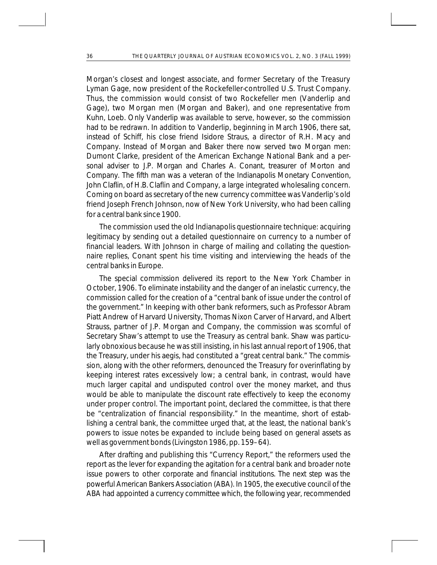Morgan's closest and longest associate, and former Secretary of the Treasury Lyman Gage, now president of the Rockefeller-controlled U.S. Trust Company. Thus, the commission would consist of two Rockefeller men (Vanderlip and Gage), two Morgan men (Morgan and Baker), and one representative from Kuhn, Loeb. Only Vanderlip was available to serve, however, so the commission had to be redrawn. In addition to Vanderlip, beginning in March 1906, there sat, instead of Schiff, his close friend Isidore Straus, a director of R.H. Macy and Company. Instead of Morgan and Baker there now served two Morgan men: Dumont Clarke, president of the American Exchange National Bank and a personal adviser to J.P. Morgan and Charles A. Conant, treasurer of Morton and Company. The fifth man was a veteran of the Indianapolis Monetary Convention, John Claflin, of H.B. Claflin and Company, a large integrated wholesaling concern. Coming on board as secretary of the new currency committee was Vanderlip's old friend Joseph French Johnson, now of New York University, who had been calling for a central bank since 1900.

The commission used the old Indianapolis questionnaire technique: acquiring legitimacy by sending out a detailed questionnaire on currency to a number of financial leaders. With Johnson in charge of mailing and collating the questionnaire replies, Conant spent his time visiting and interviewing the heads of the central banks in Europe.

The special commission delivered its report to the New York Chamber in October, 1906. To eliminate instability and the danger of an inelastic currency, the commission called for the creation of a "central bank of issue under the control of the government." In keeping with other bank reformers, such as Professor Abram Piatt Andrew of Harvard University, Thomas Nixon Carver of Harvard, and Albert Strauss, partner of J.P. Morgan and Company, the commission was scornful of Secretary Shaw's attempt to use the Treasury as central bank. Shaw was particularly obnoxious because he was still insisting, in his last annual report of 1906, that the Treasury, under his aegis, had constituted a "great central bank." The commission, along with the other reformers, denounced the Treasury for overinflating by keeping interest rates excessively low; a central bank, in contrast, would have much larger capital and undisputed control over the money market, and thus would be able to manipulate the discount rate effectively to keep the economy under proper control. The important point, declared the committee, is that there be "centralization of financial responsibility." In the meantime, short of establishing a central bank, the committee urged that, at the least, the national bank's powers to issue notes be expanded to include being based on general assets as well as government bonds (Livingston 1986, pp. 159–64).

After drafting and publishing this "Currency Report," the reformers used the report as the lever for expanding the agitation for a central bank and broader note issue powers to other corporate and financial institutions. The next step was the powerful American Bankers Association (ABA). In 1905, the executive council of the ABA had appointed a currency committee which, the following year, recommended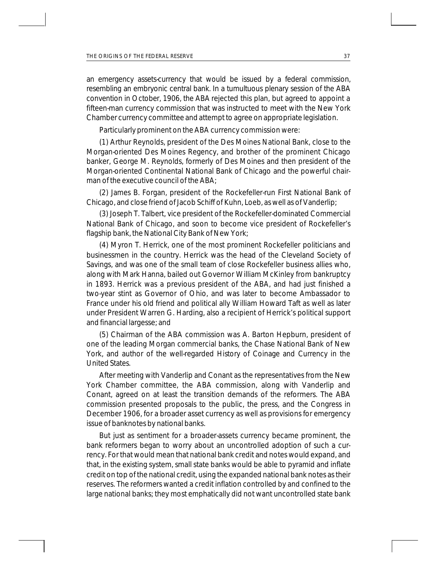an emergency assets-currency that would be issued by a federal commission, resembling an embryonic central bank. In a tumultuous plenary session of the ABA convention in October, 1906, the ABA rejected this plan, but agreed to appoint a fifteen-man currency commission that was instructed to meet with the New York Chamber currency committee and attempt to agree on appropriate legislation.

Particularly prominent on the ABA currency commission were:

(1) Arthur Reynolds, president of the Des Moines National Bank, close to the Morgan-oriented Des Moines Regency, and brother of the prominent Chicago banker, George M. Reynolds, formerly of Des Moines and then president of the Morgan-oriented Continental National Bank of Chicago and the powerful chairman of the executive council of the ABA;

(2) James B. Forgan, president of the Rockefeller-run First National Bank of Chicago, and close friend of Jacob Schiff of Kuhn, Loeb, as well as of Vanderlip;

(3) Joseph T. Talbert, vice president of the Rockefeller-dominated Commercial National Bank of Chicago, and soon to become vice president of Rockefeller's flagship bank, the National City Bank of New York;

(4) Myron T. Herrick, one of the most prominent Rockefeller politicians and businessmen in the country. Herrick was the head of the Cleveland Society of Savings, and was one of the small team of close Rockefeller business allies who, along with Mark Hanna, bailed out Governor William McKinley from bankruptcy in 1893. Herrick was a previous president of the ABA, and had just finished a two-year stint as Governor of Ohio, and was later to become Ambassador to France under his old friend and political ally William Howard Taft as well as later under President Warren G. Harding, also a recipient of Herrick's political support and financial largesse; and

(5) Chairman of the ABA commission was A. Barton Hepburn, president of one of the leading Morgan commercial banks, the Chase National Bank of New York, and author of the well-regarded *History of Coinage and Currency in the United States.*

After meeting with Vanderlip and Conant as the representatives from the New York Chamber committee, the ABA commission, along with Vanderlip and Conant, agreed on at least the transition demands of the reformers. The ABA commission presented proposals to the public, the press, and the Congress in December 1906, for a broader asset currency as well as provisions for emergency issue of banknotes by national banks.

But just as sentiment for a broader-assets currency became prominent, the bank reformers began to worry about an uncontrolled adoption of such a currency. For that would mean that national bank credit and notes would expand, and that, in the existing system, small state banks would be able to pyramid and inflate credit on top of the national credit, using the expanded national bank notes as their reserves. The reformers wanted a credit inflation controlled by and confined to the large national banks; they most emphatically did not want uncontrolled state bank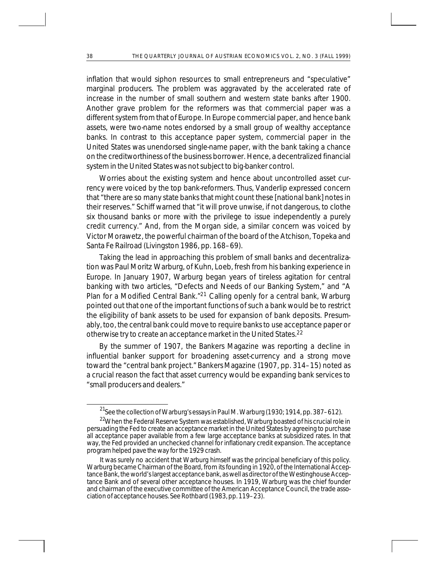inflation that would siphon resources to small entrepreneurs and "speculative" marginal producers. The problem was aggravated by the accelerated rate of increase in the number of small southern and western state banks after 1900. Another grave problem for the reformers was that commercial paper was a different system from that of Europe. In Europe commercial paper, and hence bank assets, were two-name notes endorsed by a small group of wealthy acceptance banks. In contrast to this acceptance paper system, commercial paper in the United States was unendorsed single-name paper, with the bank taking a chance on the creditworthiness of the business borrower. Hence, a decentralized financial system in the United States was not subject to big-banker control.

Worries about the existing system and hence about uncontrolled asset currency were voiced by the top bank-reformers. Thus, Vanderlip expressed concern that "there are so many state banks that might count these [national bank] notes in their reserves." Schiff warned that "it will prove unwise, if not dangerous, to clothe six thousand banks or more with the privilege to issue independently a purely credit currency." And, from the Morgan side, a similar concern was voiced by Victor Morawetz, the powerful chairman of the board of the Atchison, Topeka and Santa Fe Railroad (Livingston 1986, pp. 168–69).

Taking the lead in approaching this problem of small banks and decentralization was Paul Moritz Warburg, of Kuhn, Loeb, fresh from his banking experience in Europe. In January 1907, Warburg began years of tireless agitation for central banking with two articles, "Defects and Needs of our Banking System," and "A Plan for a Modified Central Bank.<sup>"21</sup> Calling openly for a central bank, Warburg pointed out that one of the important functions of such a bank would be to restrict the eligibility of bank assets to be used for expansion of bank deposits. Presumably, too, the central bank could move to require banks to use acceptance paper or otherwise try to create an acceptance market in the United States.<sup>22</sup>

By the summer of 1907, the *Bankers Magazine* was reporting a decline in influential banker support for broadening asset-currency and a strong move toward the "central bank project." *Bankers Magazine* (1907, pp. 314–15) noted as a crucial reason the fact that asset currency would be expanding bank services to "small producers and dealers."

<sup>&</sup>lt;sup>21</sup>See the collection of Warburg's essays in Paul M. Warburg (1930; 1914, pp. 387–612).

<sup>&</sup>lt;sup>22</sup>When the Federal Reserve System was established, Warburg boasted of his crucial role in persuading the Fed to create an acceptance market in the United States by agreeing to purchase all acceptance paper available from a few large acceptance banks at subsidized rates. In that way, the Fed provided an unchecked channel for inflationary credit expansion. The acceptance program helped pave the way for the 1929 crash.

It was surely no accident that Warburg himself was the principal beneficiary of this policy. Warburg became Chairman of the Board, from its founding in 1920, of the International Acceptance Bank, the world's largest acceptance bank, as well as director of the Westinghouse Acceptance Bank and of several other acceptance houses. In 1919, Warburg was the chief founder and chairman of the executive committee of the American Acceptance Council, the trade association of acceptance houses. See Rothbard (1983, pp. 119–23).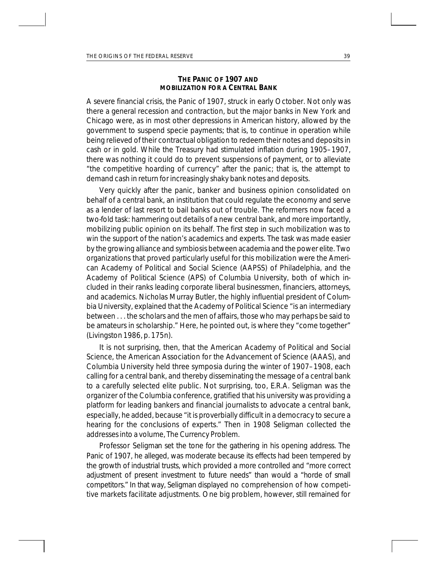## **THE PANIC OF 1907 AND MOBILIZATION FOR A CENTRAL BANK**

A severe financial crisis, the Panic of 1907, struck in early October. Not only was there a general recession and contraction, but the major banks in New York and Chicago were, as in most other depressions in American history, allowed by the government to suspend specie payments; that is, to continue in operation while being relieved of their contractual obligation to redeem their notes and deposits in cash or in gold. While the Treasury had stimulated inflation during 1905–1907, there was nothing it could do to prevent suspensions of payment, or to alleviate "the competitive hoarding of currency" after the panic; that is, the attempt to demand cash in return for increasingly shaky bank notes and deposits.

Very quickly after the panic, banker and business opinion consolidated on behalf of a central bank, an institution that could regulate the economy and serve as a lender of last resort to bail banks out of trouble. The reformers now faced a two-fold task: hammering out details of a new central bank, and more importantly, mobilizing public opinion on its behalf. The first step in such mobilization was to win the support of the nation's academics and experts. The task was made easier by the growing alliance and symbiosis between academia and the power elite. Two organizations that proved particularly useful for this mobilization were the American Academy of Political and Social Science (AAPSS) of Philadelphia, and the Academy of Political Science (APS) of Columbia University, both of which included in their ranks leading corporate liberal businessmen, financiers, attorneys, and academics. Nicholas Murray Butler, the highly influential president of Columbia University, explained that the Academy of Political Science "is an intermediary between . . . the scholars and the men of affairs, those who may perhaps be said to be amateurs in scholarship." Here, he pointed out, is where they "come together" (Livingston 1986, p. 175n).

It is not surprising, then, that the American Academy of Political and Social Science, the American Association for the Advancement of Science (AAAS), and Columbia University held three symposia during the winter of 1907–1908, each calling for a central bank, and thereby disseminating the message of a central bank to a carefully selected elite public. Not surprising, too, E.R.A. Seligman was the organizer of the Columbia conference, gratified that his university was providing a platform for leading bankers and financial journalists to advocate a central bank, especially, he added, because "it is proverbially difficult in a democracy to secure a hearing for the conclusions of experts." Then in 1908 Seligman collected the addresses into a volume, *The Currency Problem.*

Professor Seligman set the tone for the gathering in his opening address. The Panic of 1907, he alleged, was moderate because its effects had been tempered by the growth of industrial trusts, which provided a more controlled and "more correct adjustment of present investment to future needs" than would a "horde of small competitors." In that way, Seligman displayed no comprehension of how competitive markets facilitate adjustments. One big problem, however, still remained for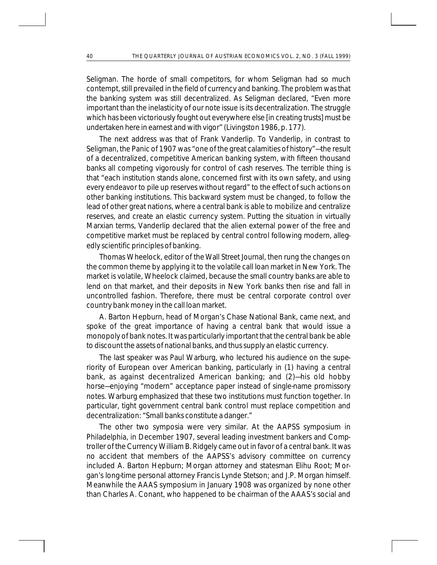Seligman. The horde of small competitors, for whom Seligman had so much contempt, still prevailed in the field of currency and banking. The problem was that the banking system was still decentralized. As Seligman declared, "Even more important than the inelasticity of our note issue is its decentralization. The struggle which has been victoriously fought out everywhere else [in creating trusts] must be undertaken here in earnest and with vigor" (Livingston 1986, p. 177).

The next address was that of Frank Vanderlip. To Vanderlip, in contrast to Seligman, the Panic of 1907 was "one of the great calamities of history"—the result of a decentralized, competitive American banking system, with fifteen thousand banks all competing vigorously for control of cash reserves. The terrible thing is that "each institution stands alone, concerned first with its own safety, and using every endeavor to pile up reserves without regard" to the effect of such actions on other banking institutions. This backward system must be changed, to follow the lead of other great nations, where a central bank is able to mobilize and centralize reserves, and create an elastic currency system. Putting the situation in virtually Marxian terms, Vanderlip declared that the alien external power of the free and competitive market must be replaced by central control following modern, allegedly scientific principles of banking.

Thomas Wheelock, editor of the *Wall Street Journal*, then rung the changes on the common theme by applying it to the volatile call loan market in New York. The market is volatile, Wheelock claimed, because the small country banks are able to lend on that market, and their deposits in New York banks then rise and fall in uncontrolled fashion. Therefore, there must be central corporate control over country bank money in the call loan market.

A. Barton Hepburn, head of Morgan's Chase National Bank, came next, and spoke of the great importance of having a central bank that would issue a monopoly of bank notes. It was particularly important that the central bank be able to discount the assets of national banks, and thus supply an elastic currency.

The last speaker was Paul Warburg, who lectured his audience on the superiority of European over American banking, particularly in (1) having a central bank, as against decentralized American banking; and (2)—his old hobby horse—enjoying "modern" acceptance paper instead of single-name promissory notes. Warburg emphasized that these two institutions must function together. In particular, tight government central bank control must replace competition and decentralization: "Small banks constitute a danger."

The other two symposia were very similar. At the AAPSS symposium in Philadelphia, in December 1907, several leading investment bankers and Comptroller of the Currency William B. Ridgely came out in favor of a central bank. It was no accident that members of the AAPSS's advisory committee on currency included A. Barton Hepburn; Morgan attorney and statesman Elihu Root; Morgan's long-time personal attorney Francis Lynde Stetson; and J.P. Morgan himself. Meanwhile the AAAS symposium in January 1908 was organized by none other than Charles A. Conant, who happened to be chairman of the AAAS's social and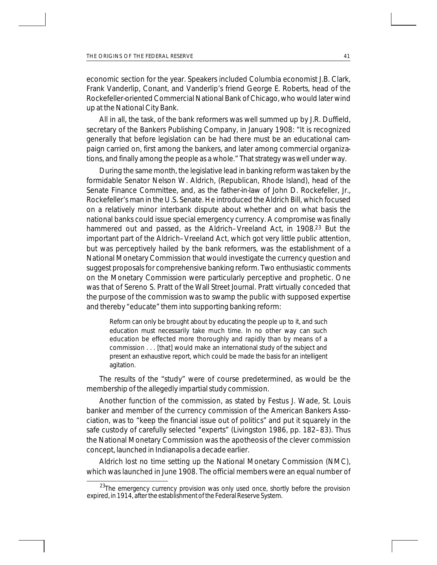economic section for the year. Speakers included Columbia economist J.B. Clark, Frank Vanderlip, Conant, and Vanderlip's friend George E. Roberts, head of the Rockefeller-oriented Commercial National Bank of Chicago, who would later wind up at the National City Bank.

All in all, the task, of the bank reformers was well summed up by J.R. Duffield, secretary of the Bankers Publishing Company, in January 1908: "It is recognized generally that before legislation can be had there must be an educational campaign carried on, first among the bankers, and later among commercial organizations, and finally among the people as a whole." That strategy was well under way.

During the same month, the legislative lead in banking reform was taken by the formidable Senator Nelson W. Aldrich, (Republican, Rhode Island), head of the Senate Finance Committee, and, as the father-in-law of John D. Rockefeller, Jr., Rockefeller's man in the U.S. Senate. He introduced the Aldrich Bill, which focused on a relatively minor interbank dispute about whether and on what basis the national banks could issue special emergency currency. A compromise was finally hammered out and passed, as the Aldrich–Vreeland Act, in 1908.<sup>23</sup> But the important part of the Aldrich–Vreeland Act, which got very little public attention, but was perceptively hailed by the bank reformers, was the establishment of a National Monetary Commission that would investigate the currency question and suggest proposals for comprehensive banking reform. Two enthusiastic comments on the Monetary Commission were particularly perceptive and prophetic. One was that of Sereno S. Pratt of the *Wall Street Journal*. Pratt virtually conceded that the purpose of the commission was to swamp the public with supposed expertise and thereby "educate" them into supporting banking reform:

Reform can only be brought about by educating the people up to it, and such education must necessarily take much time. In no other way can such education be effected more thoroughly and rapidly than by means of a commission . . . [that] would make an international study of the subject and present an exhaustive report, which could be made the basis for an intelligent agitation.

The results of the "study" were of course predetermined, as would be the membership of the allegedly impartial study commission.

Another function of the commission, as stated by Festus J. Wade, St. Louis banker and member of the currency commission of the American Bankers Association, was to "keep the financial issue out of politics" and put it squarely in the safe custody of carefully selected "experts" (Livingston 1986, pp. 182–83). Thus the National Monetary Commission was the apotheosis of the clever commission concept, launched in Indianapolis a decade earlier.

Aldrich lost no time setting up the National Monetary Commission (NMC), which was launched in June 1908. The official members were an equal number of

<sup>&</sup>lt;sup>23</sup>The emergency currency provision was only used once, shortly before the provision expired, in 1914, after the establishment of the Federal Reserve System.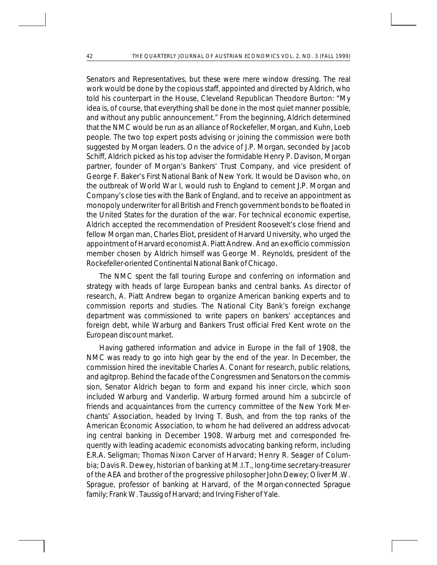Senators and Representatives, but these were mere window dressing. The real work would be done by the copious staff, appointed and directed by Aldrich, who told his counterpart in the House, Cleveland Republican Theodore Burton: "My idea is, of course, that everything shall be done in the most quiet manner possible, and without any public announcement." From the beginning, Aldrich determined that the NMC would be run as an alliance of Rockefeller, Morgan, and Kuhn, Loeb people. The two top expert posts advising or joining the commission were both suggested by Morgan leaders. On the advice of J.P. Morgan, seconded by Jacob Schiff, Aldrich picked as his top adviser the formidable Henry P. Davison, Morgan partner, founder of Morgan's Bankers' Trust Company, and vice president of George F. Baker's First National Bank of New York. It would be Davison who, on the outbreak of World War I, would rush to England to cement J.P. Morgan and Company's close ties with the Bank of England, and to receive an appointment as monopoly underwriter for all British and French government bonds to be floated in the United States for the duration of the war. For technical economic expertise, Aldrich accepted the recommendation of President Roosevelt's close friend and fellow Morgan man, Charles Eliot, president of Harvard University, who urged the appointment of Harvard economist A. Piatt Andrew. And an *ex-officio* commission member chosen by Aldrich himself was George M. Reynolds, president of the Rockefeller-oriented Continental National Bank of Chicago.

The NMC spent the fall touring Europe and conferring on information and strategy with heads of large European banks and central banks. As director of research, A. Piatt Andrew began to organize American banking experts and to commission reports and studies. The National City Bank's foreign exchange department was commissioned to write papers on bankers' acceptances and foreign debt, while Warburg and Bankers Trust official Fred Kent wrote on the European discount market.

Having gathered information and advice in Europe in the fall of 1908, the NMC was ready to go into high gear by the end of the year. In December, the commission hired the inevitable Charles A. Conant for research, public relations, and agitprop. Behind the facade of the Congressmen and Senators on the commission, Senator Aldrich began to form and expand his inner circle, which soon included Warburg and Vanderlip. Warburg formed around him a subcircle of friends and acquaintances from the currency committee of the New York Merchants' Association, headed by Irving T. Bush, and from the top ranks of the American Economic Association, to whom he had delivered an address advocating central banking in December 1908. Warburg met and corresponded frequently with leading academic economists advocating banking reform, including E.R.A. Seligman; Thomas Nixon Carver of Harvard; Henry R. Seager of Columbia; Davis R. Dewey, historian of banking at M.I.T., long-time secretary-treasurer of the AEA and brother of the progressive philosopher John Dewey; Oliver M.W. Sprague, professor of banking at Harvard, of the Morgan-connected Sprague family; Frank W. Taussig of Harvard; and Irving Fisher of Yale.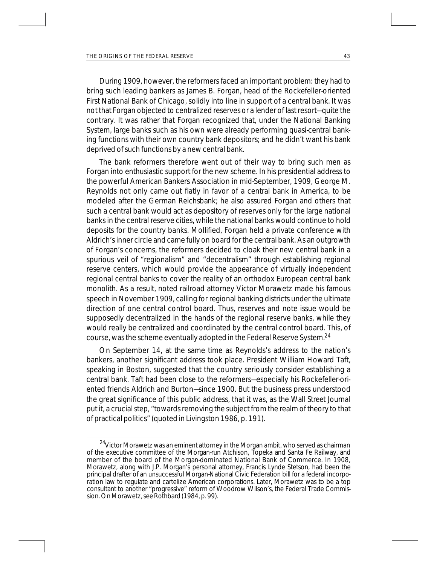During 1909, however, the reformers faced an important problem: they had to bring such leading bankers as James B. Forgan, head of the Rockefeller-oriented First National Bank of Chicago, solidly into line in support of a central bank. It was not that Forgan objected to centralized reserves or a lender of last resort—quite the contrary. It was rather that Forgan recognized that, under the National Banking System, large banks such as his own were already performing quasi-central banking functions with their own country bank depositors; and he didn't want his bank deprived of such functions by a new central bank.

The bank reformers therefore went out of their way to bring such men as Forgan into enthusiastic support for the new scheme. In his presidential address to the powerful American Bankers Association in mid-September, 1909, George M. Reynolds not only came out flatly in favor of a central bank in America, to be modeled after the German *Reichsbank*; he also assured Forgan and others that such a central bank would act as depository of reserves only for the large national banks in the central reserve cities, while the national banks would continue to hold deposits for the country banks. Mollified, Forgan held a private conference with Aldrich's inner circle and came fully on board for the central bank. As an outgrowth of Forgan's concerns, the reformers decided to cloak their new central bank in a spurious veil of "regionalism" and "decentralism" through establishing regional reserve centers, which would provide the appearance of virtually independent regional central banks to cover the reality of an orthodox European central bank monolith. As a result, noted railroad attorney Victor Morawetz made his famous speech in November 1909, calling for regional banking districts under the ultimate direction of one central control board. Thus, reserves and note issue would be supposedly decentralized in the hands of the regional reserve banks, while they would really be centralized and coordinated by the central control board. This, of course, was the scheme eventually adopted in the Federal Reserve System.<sup>24</sup>

On September 14, at the same time as Reynolds's address to the nation's bankers, another significant address took place. President William Howard Taft, speaking in Boston, suggested that the country seriously consider establishing a central bank. Taft had been close to the reformers—especially his Rockefeller-oriented friends Aldrich and Burton—since 1900. But the business press understood the great significance of this public address, that it was, as the *Wall Street Journal* put it, a crucial step, "towards removing the subject from the realm of theory to that of practical politics" (quoted in Livingston 1986, p. 191).

<sup>&</sup>lt;sup>24</sup>Victor Morawetz was an eminent attorney in the Morgan ambit, who served as chairman of the executive committee of the Morgan-run Atchison, Topeka and Santa Fe Railway, and member of the board of the Morgan-dominated National Bank of Commerce. In 1908, Morawetz, along with J.P. Morgan's personal attorney, Francis Lynde Stetson, had been the principal drafter of an unsuccessful Morgan-National Civic Federation bill for a federal incorporation law to regulate and cartelize American corporations. Later, Morawetz was to be a top consultant to another "progressive" reform of Woodrow Wilson's, the Federal Trade Commission. On Morawetz, see Rothbard (1984, p. 99).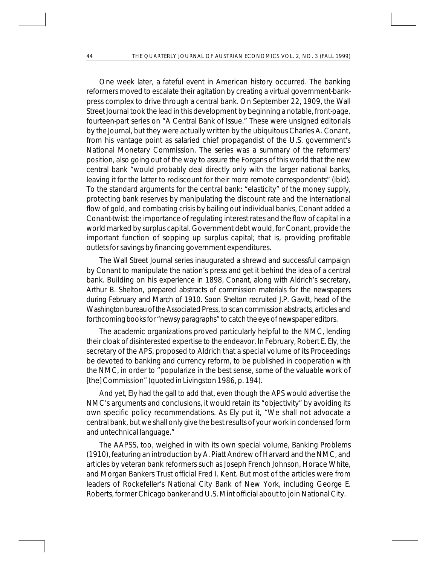One week later, a fateful event in American history occurred. The banking reformers moved to escalate their agitation by creating a virtual government-bankpress complex to drive through a central bank. On September 22, 1909, the *Wall Street Journal* took the lead in this development by beginning a notable, front-page, fourteen-part series on "A Central Bank of Issue." These were unsigned editorials by the *Journal*, but they were actually written by the ubiquitous Charles A. Conant, from his vantage point as salaried chief propagandist of the U.S. government's National Monetary Commission. The series was a summary of the reformers' position, also going out of the way to assure the Forgans of this world that the new central bank "would probably deal directly only with the larger national banks, leaving it for the latter to rediscount for their more remote correspondents" (ibid). To the standard arguments for the central bank: "elasticity" of the money supply, protecting bank reserves by manipulating the discount rate and the international flow of gold, and combating crisis by bailing out individual banks, Conant added a Conant-twist: the importance of regulating interest rates and the flow of capital in a world marked by surplus capital. Government debt would, for Conant, provide the important function of sopping up surplus capital; that is, providing profitable outlets for savings by financing government expenditures.

The *Wall Street Journal* series inaugurated a shrewd and successful campaign by Conant to manipulate the nation's press and get it behind the idea of a central bank. Building on his experience in 1898, Conant, along with Aldrich's secretary, Arthur B. Shelton, prepared abstracts of commission materials for the newspapers during February and March of 1910. Soon Shelton recruited J.P. Gavitt, head of the Washington bureau of the Associated Press, to scan commission abstracts, articles and forthcoming books for "newsy paragraphs" to catch the eye of newspaper editors.

The academic organizations proved particularly helpful to the NMC, lending their cloak of disinterested expertise to the endeavor. In February, Robert E. Ely, the secretary of the APS, proposed to Aldrich that a special volume of its *Proceedings* be devoted to banking and currency reform, to be published in cooperation with the NMC, in order to "popularize in the best sense, some of the valuable work of [the] Commission" (quoted in Livingston 1986, p. 194).

And yet, Ely had the gall to add that, even though the APS would advertise the NMC's arguments and conclusions, it would retain its "objectivity" by avoiding its own specific policy recommendations. As Ely put it, "We shall not advocate a central bank, but we shall only give the best results of your work in condensed form and untechnical language."

The AAPSS, too, weighed in with its own special volume, *Banking Problems* (1910), featuring an introduction by A. Piatt Andrew of Harvard and the NMC, and articles by veteran bank reformers such as Joseph French Johnson, Horace White, and Morgan Bankers Trust official Fred I. Kent. But most of the articles were from leaders of Rockefeller's National City Bank of New York, including George E. Roberts, former Chicago banker and U.S. Mint official about to join National City.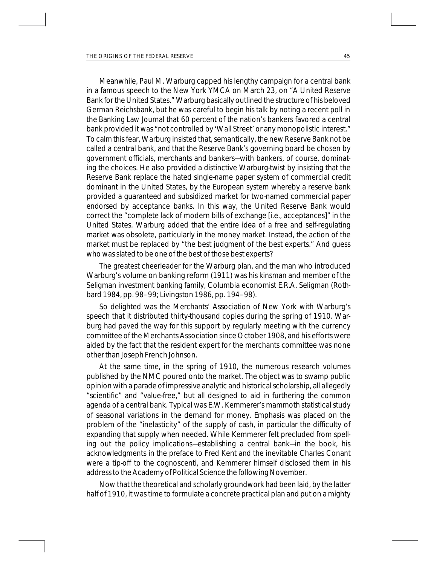Meanwhile, Paul M. Warburg capped his lengthy campaign for a central bank in a famous speech to the New York YMCA on March 23, on "A United Reserve Bank for the United States." Warburg basically outlined the structure of his beloved German *Reichsbank*, but he was careful to begin his talk by noting a recent poll in the *Banking Law Journal* that 60 percent of the nation's bankers favored a central bank provided it was "not controlled by 'Wall Street' or any monopolistic interest." To calm this fear, Warburg insisted that, semantically, the new Reserve Bank not be called a central bank, and that the Reserve Bank's governing board be chosen by government officials, merchants and bankers—with bankers, of course, dominating the choices. He also provided a distinctive Warburg-twist by insisting that the Reserve Bank replace the hated single-name paper system of commercial credit dominant in the United States, by the European system whereby a reserve bank provided a guaranteed and subsidized market for two-named commercial paper endorsed by acceptance banks. In this way, the United Reserve Bank would correct the "complete lack of modern bills of exchange [i.e., acceptances]" in the United States. Warburg added that the entire idea of a free and self-regulating market was obsolete, particularly in the money market. Instead, the action of the market must be replaced by "the best judgment of the best experts." And guess who was slated to be one of the best of those best experts?

The greatest cheerleader for the Warburg plan, and the man who introduced Warburg's volume on banking reform (1911) was his kinsman and member of the Seligman investment banking family, Columbia economist E.R.A. Seligman (Rothbard 1984, pp. 98–99; Livingston 1986, pp. 194–98).

So delighted was the Merchants' Association of New York with Warburg's speech that it distributed thirty-thousand copies during the spring of 1910. Warburg had paved the way for this support by regularly meeting with the currency committee of the Merchants Association since October 1908, and his efforts were aided by the fact that the resident expert for the merchants committee was none other than Joseph French Johnson.

At the same time, in the spring of 1910, the numerous research volumes published by the NMC poured onto the market. The object was to swamp public opinion with a parade of impressive analytic and historical scholarship, all allegedly "scientific" and "value-free," but all designed to aid in furthering the common agenda of a central bank. Typical was E.W. Kemmerer's mammoth statistical study of seasonal variations in the demand for money. Emphasis was placed on the problem of the "inelasticity" of the supply of cash, in particular the difficulty of expanding that supply when needed. While Kemmerer felt precluded from spelling out the policy implications—establishing a central bank—in the book, his acknowledgments in the preface to Fred Kent and the inevitable Charles Conant were a tip-off to the cognoscenti, and Kemmerer himself disclosed them in his address to the Academy of Political Science the following November.

Now that the theoretical and scholarly groundwork had been laid, by the latter half of 1910, it was time to formulate a concrete practical plan and put on a mighty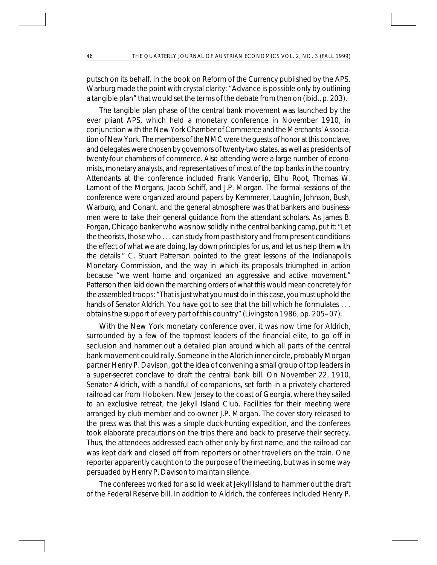*putsch* on its behalf. In the book on *Reform of the Currency* published by the APS, Warburg made the point with crystal clarity: "Advance is possible only by outlining a tangible plan" that would set the terms of the debate from then on (ibid., p. 203).

The tangible plan phase of the central bank movement was launched by the ever pliant APS, which held a monetary conference in November 1910, in conjunction with the New York Chamber of Commerce and the Merchants' Association of New York. The members of the NMC were the guests of honor at this conclave, and delegates were chosen by governors of twenty-two states, as well as presidents of twenty-four chambers of commerce. Also attending were a large number of economists, monetary analysts, and representatives of most of the top banks in the country. Attendants at the conference included Frank Vanderlip, Elihu Root, Thomas W. Lamont of the Morgans, Jacob Schiff, and J.P. Morgan. The formal sessions of the conference were organized around papers by Kemmerer, Laughlin, Johnson, Bush, Warburg, and Conant, and the general atmosphere was that bankers and businessmen were to take their general guidance from the attendant scholars. As James B. Forgan, Chicago banker who was now solidly in the central banking camp, put it: "Let the theorists, those who . . . can study from past history and from present conditions the effect of what we are doing, lay down principles for us, and let us help them with the details." C. Stuart Patterson pointed to the great lessons of the Indianapolis Monetary Commission, and the way in which its proposals triumphed in action because "we went home and organized an aggressive and active movement." Patterson then laid down the marching orders of what this would mean concretely for the assembled troops: "That is just what you must do in this case, you must uphold the hands of Senator Aldrich. You have got to see that the bill which he formulates ... obtains the support of every part of this country" (Livingston 1986, pp. 205–07).

With the New York monetary conference over, it was now time for Aldrich, surrounded by a few of the topmost leaders of the financial elite, to go off in seclusion and hammer out a detailed plan around which all parts of the central bank movement could rally. Someone in the Aldrich inner circle, probably Morgan partner Henry P. Davison, got the idea of convening a small group of top leaders in a super-secret conclave to draft the central bank bill. On November 22, 1910, Senator Aldrich, with a handful of companions, set forth in a privately chartered railroad car from Hoboken, New Jersey to the coast of Georgia, where they sailed to an exclusive retreat, the Jekyll Island Club. Facilities for their meeting were arranged by club member and co-owner J.P. Morgan. The cover story released to the press was that this was a simple duck-hunting expedition, and the conferees took elaborate precautions on the trips there and back to preserve their secrecy. Thus, the attendees addressed each other only by first name, and the railroad car was kept dark and closed off from reporters or other travellers on the train. One reporter apparently caught on to the purpose of the meeting, but was in some way persuaded by Henry P. Davison to maintain silence.

The conferees worked for a solid week at Jekyll Island to hammer out the draft of the Federal Reserve bill. In addition to Aldrich, the conferees included Henry P.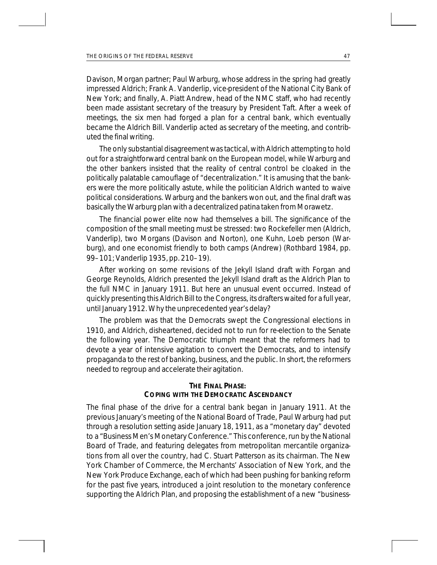Davison, Morgan partner; Paul Warburg, whose address in the spring had greatly impressed Aldrich; Frank A. Vanderlip, vice-president of the National City Bank of New York; and finally, A. Piatt Andrew, head of the NMC staff, who had recently been made assistant secretary of the treasury by President Taft. After a week of meetings, the six men had forged a plan for a central bank, which eventually became the Aldrich Bill. Vanderlip acted as secretary of the meeting, and contributed the final writing.

The only substantial disagreement was tactical, with Aldrich attempting to hold out for a straightforward central bank on the European model, while Warburg and the other bankers insisted that the reality of central control be cloaked in the politically palatable camouflage of "decentralization." It is amusing that the bankers were the more politically astute, while the politician Aldrich wanted to waive political considerations. Warburg and the bankers won out, and the final draft was basically the Warburg plan with a decentralized patina taken from Morawetz.

The financial power elite now had themselves a bill. The significance of the composition of the small meeting must be stressed: two Rockefeller men (Aldrich, Vanderlip), two Morgans (Davison and Norton), one Kuhn, Loeb person (Warburg), and one economist friendly to both camps (Andrew) (Rothbard 1984, pp. 99–101; Vanderlip 1935, pp. 210–19).

After working on some revisions of the Jekyll Island draft with Forgan and George Reynolds, Aldrich presented the Jekyll Island draft as the Aldrich Plan to the full NMC in January 1911. But here an unusual event occurred. Instead of quickly presenting this Aldrich Bill to the Congress, its drafters waited for a full year, until January 1912. Why the unprecedented year's delay?

The problem was that the Democrats swept the Congressional elections in 1910, and Aldrich, disheartened, decided not to run for re-election to the Senate the following year. The Democratic triumph meant that the reformers had to devote a year of intensive agitation to convert the Democrats, and to intensify propaganda to the rest of banking, business, and the public. In short, the reformers needed to regroup and accelerate their agitation.

#### **THE FINAL PHASE: COPING WITH THE DEMOCRATIC ASCENDANCY**

The final phase of the drive for a central bank began in January 1911. At the previous January's meeting of the National Board of Trade, Paul Warburg had put through a resolution setting aside January 18, 1911, as a "monetary day" devoted to a "Business Men's Monetary Conference." This conference, run by the National Board of Trade, and featuring delegates from metropolitan mercantile organizations from all over the country, had C. Stuart Patterson as its chairman. The New York Chamber of Commerce, the Merchants' Association of New York, and the New York Produce Exchange, each of which had been pushing for banking reform for the past five years, introduced a joint resolution to the monetary conference supporting the Aldrich Plan, and proposing the establishment of a new "business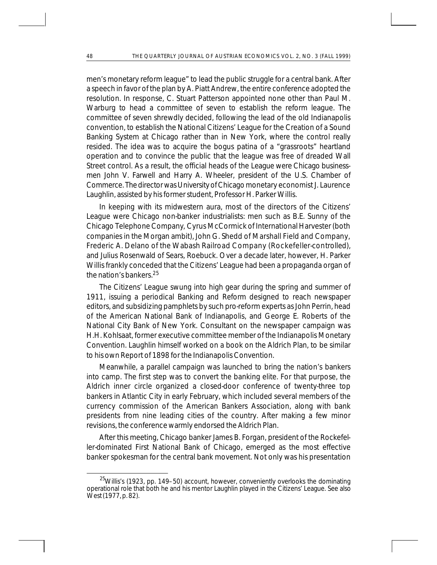men's monetary reform league" to lead the public struggle for a central bank. After a speech in favor of the plan by A. Piatt Andrew, the entire conference adopted the resolution. In response, C. Stuart Patterson appointed none other than Paul M. Warburg to head a committee of seven to establish the reform league. The committee of seven shrewdly decided, following the lead of the old Indianapolis convention, to establish the National Citizens' League for the Creation of a Sound Banking System at Chicago rather than in New York, where the control really resided. The idea was to acquire the bogus patina of a "grassroots" heartland operation and to convince the public that the league was free of dreaded Wall Street control. As a result, the official heads of the League were Chicago businessmen John V. Farwell and Harry A. Wheeler, president of the U.S. Chamber of Commerce. The director was University of Chicago monetary economist J. Laurence Laughlin, assisted by his former student, Professor H. Parker Willis.

In keeping with its midwestern aura, most of the directors of the Citizens' League were Chicago non-banker industrialists: men such as B.E. Sunny of the Chicago Telephone Company, Cyrus McCormick of International Harvester (both companies in the Morgan ambit), John G. Shedd of Marshall Field and Company, Frederic A. Delano of the Wabash Railroad Company (Rockefeller-controlled), and Julius Rosenwald of Sears, Roebuck. Over a decade later, however, H. Parker Willis frankly conceded that the Citizens' League had been a propaganda organ of the nation's bankers.<sup>25</sup>

The Citizens' League swung into high gear during the spring and summer of 1911, issuing a periodical *Banking and Reform* designed to reach newspaper editors, and subsidizing pamphlets by such pro-reform experts as John Perrin, head of the American National Bank of Indianapolis, and George E. Roberts of the National City Bank of New York. Consultant on the newspaper campaign was H.H. Kohlsaat, former executive committee member of the Indianapolis Monetary Convention. Laughlin himself worked on a book on the Aldrich Plan, to be similar to his own Report of 1898 for the Indianapolis Convention.

Meanwhile, a parallel campaign was launched to bring the nation's bankers into camp. The first step was to convert the banking elite. For that purpose, the Aldrich inner circle organized a closed-door conference of twenty-three top bankers in Atlantic City in early February, which included several members of the currency commission of the American Bankers Association, along with bank presidents from nine leading cities of the country. After making a few minor revisions, the conference warmly endorsed the Aldrich Plan.

After this meeting, Chicago banker James B. Forgan, president of the Rockefeller-dominated First National Bank of Chicago, emerged as the most effective banker spokesman for the central bank movement. Not only was his presentation

<sup>&</sup>lt;sup>25</sup>Willis's (1923, pp. 149–50) account, however, conveniently overlooks the dominating operational role that both he and his mentor Laughlin played in the Citizens' League. See also West (1977, p. 82).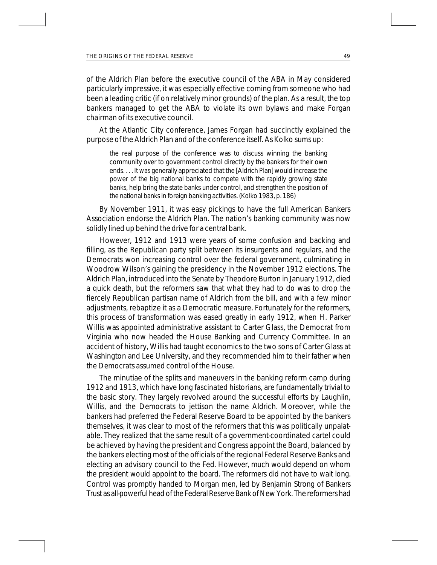of the Aldrich Plan before the executive council of the ABA in May considered particularly impressive, it was especially effective coming from someone who had been a leading critic (if on relatively minor grounds) of the plan. As a result, the top bankers managed to get the ABA to violate its own bylaws and make Forgan chairman of its executive council.

At the Atlantic City conference, James Forgan had succinctly explained the purpose of the Aldrich Plan and of the conference itself. As Kolko sums up:

the real purpose of the conference was to discuss winning the banking community over to government control directly by the bankers for their own ends. . . . It was generally appreciated that the [Aldrich Plan] would increase the power of the big national banks to compete with the rapidly growing state banks, help bring the state banks under control, and strengthen the position of the national banks in foreign banking activities. (Kolko 1983, p. 186)

By November 1911, it was easy pickings to have the full American Bankers Association endorse the Aldrich Plan. The nation's banking community was now solidly lined up behind the drive for a central bank.

However, 1912 and 1913 were years of some confusion and backing and filling, as the Republican party split between its insurgents and regulars, and the Democrats won increasing control over the federal government, culminating in Woodrow Wilson's gaining the presidency in the November 1912 elections. The Aldrich Plan, introduced into the Senate by Theodore Burton in January 1912, died a quick death, but the reformers saw that what they had to do was to drop the fiercely Republican partisan name of Aldrich from the bill, and with a few minor adjustments, rebaptize it as a Democratic measure. Fortunately for the reformers, this process of transformation was eased greatly in early 1912, when H. Parker Willis was appointed administrative assistant to Carter Glass, the Democrat from Virginia who now headed the House Banking and Currency Committee. In an accident of history, Willis had taught economics to the two sons of Carter Glass at Washington and Lee University, and they recommended him to their father when the Democrats assumed control of the House.

The minutiae of the splits and maneuvers in the banking reform camp during 1912 and 1913, which have long fascinated historians, are fundamentally trivial to the basic story. They largely revolved around the successful efforts by Laughlin, Willis, and the Democrats to jettison the name Aldrich. Moreover, while the bankers had preferred the Federal Reserve Board to be appointed by the bankers themselves, it was clear to most of the reformers that this was politically unpalatable. They realized that the same result of a government-coordinated cartel could be achieved by having the president and Congress appoint the Board, balanced by the bankers electing most of the officials of the regional Federal Reserve Banks and electing an advisory council to the Fed. However, much would depend on whom the president would appoint to the board. The reformers did not have to wait long. Control was promptly handed to Morgan men, led by Benjamin Strong of Bankers Trust as all-powerful head of the Federal Reserve Bank of New York. The reformers had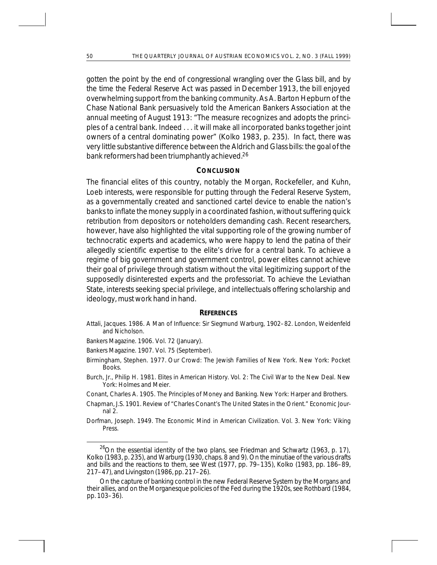gotten the point by the end of congressional wrangling over the Glass bill, and by the time the Federal Reserve Act was passed in December 1913, the bill enjoyed overwhelming support from the banking community. As A. Barton Hepburn of the Chase National Bank persuasively told the American Bankers Association at the annual meeting of August 1913: "The measure recognizes and adopts the principles of a central bank. Indeed . . . it will make all incorporated banks together joint owners of a central dominating power" (Kolko 1983, p. 235). In fact, there was very little substantive difference between the Aldrich and Glass bills: the goal of the bank reformers had been triumphantly achieved.<sup>26</sup>

#### **CONCLUSION**

The financial elites of this country, notably the Morgan, Rockefeller, and Kuhn, Loeb interests, were responsible for putting through the Federal Reserve System, as a governmentally created and sanctioned cartel device to enable the nation's banks to inflate the money supply in a coordinated fashion, without suffering quick retribution from depositors or noteholders demanding cash. Recent researchers, however, have also highlighted the vital supporting role of the growing number of technocratic experts and academics, who were happy to lend the patina of their allegedly scientific expertise to the elite's drive for a central bank. To achieve a regime of big government and government control, power elites cannot achieve their goal of privilege through statism without the vital legitimizing support of the supposedly disinterested experts and the professoriat. To achieve the Leviathan State, interests seeking special privilege, and intellectuals offering scholarship and ideology, must work hand in hand.

#### **REFERENCES**

- Attali, Jacques. 1986. *A Man of Influence: Sir Siegmund Warburg, 1902–82.* London, Weidenfeld and Nicholson.
- *Bankers Magazine*. 1906. Vol. 72 (January).
- *Bankers Magazine*. 1907. Vol. 75 (September).
- Birmingham, Stephen. 1977. *Our Crowd: The Jewish Families of New York.* New York: Pocket Books.
- Burch, Jr., Philip H. 1981. *Elites in American History. V*ol. 2*: The Civil War to the New Deal*. New York: Holmes and Meier.
- Conant, Charles A. 1905. *The Principles of Money and Banking*. New York: Harper and Brothers.
- Chapman, J.S. 1901. Review of "Charles Conant's *The United States in the Orient." Economic Journal* 2.
- Dorfman, Joseph. 1949. *The Economic Mind in American Civilization.* Vol. 3. New York: Viking Press.

 $^{26}$ On the essential identity of the two plans, see Friedman and Schwartz (1963, p. 17), Kolko (1983, p. 235), and Warburg (1930, chaps. 8 and 9). On the minutiae of the various drafts and bills and the reactions to them, see West (1977, pp. 79–135), Kolko (1983, pp. 186–89, 217–47), and Livingston (1986, pp. 217–26).

On the capture of banking control in the new Federal Reserve System by the Morgans and their allies, and on the Morganesque policies of the Fed during the 1920s, see Rothbard (1984, pp. 103–36).